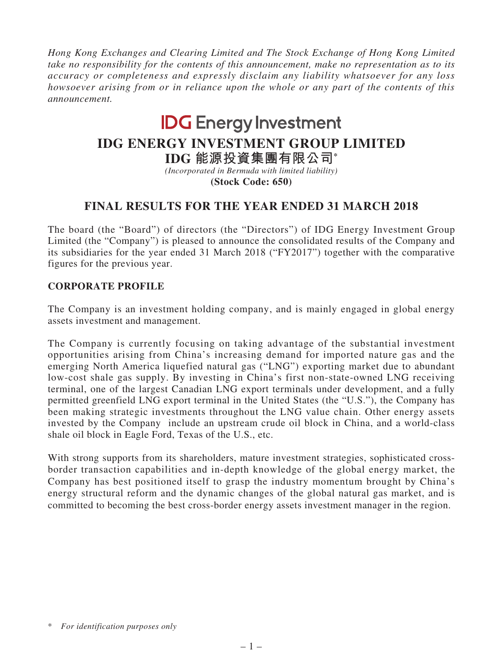*Hong Kong Exchanges and Clearing Limited and The Stock Exchange of Hong Kong Limited take no responsibility for the contents of this announcement, make no representation as to its accuracy or completeness and expressly disclaim any liability whatsoever for any loss howsoever arising from or in reliance upon the whole or any part of the contents of this announcement.*

# **IDG** Energy Investment

# **IDG ENERGY INVESTMENT GROUP LIMITED**

**IDG 能源投資集團有限公司\***

*(Incorporated in Bermuda with limited liability)* **(Stock Code: 650)**

# **FINAL RESULTS FOR THE YEAR ENDED 31 MARCH 2018**

The board (the "Board") of directors (the "Directors") of IDG Energy Investment Group Limited (the "Company") is pleased to announce the consolidated results of the Company and its subsidiaries for the year ended 31 March 2018 ("FY2017") together with the comparative figures for the previous year.

## **CORPORATE PROFILE**

The Company is an investment holding company, and is mainly engaged in global energy assets investment and management.

The Company is currently focusing on taking advantage of the substantial investment opportunities arising from China's increasing demand for imported nature gas and the emerging North America liquefied natural gas ("LNG") exporting market due to abundant low-cost shale gas supply. By investing in China's first non-state-owned LNG receiving terminal, one of the largest Canadian LNG export terminals under development, and a fully permitted greenfield LNG export terminal in the United States (the "U.S."), the Company has been making strategic investments throughout the LNG value chain. Other energy assets invested by the Company include an upstream crude oil block in China, and a world-class shale oil block in Eagle Ford, Texas of the U.S., etc.

With strong supports from its shareholders, mature investment strategies, sophisticated crossborder transaction capabilities and in-depth knowledge of the global energy market, the Company has best positioned itself to grasp the industry momentum brought by China's energy structural reform and the dynamic changes of the global natural gas market, and is committed to becoming the best cross-border energy assets investment manager in the region.

<sup>\*</sup> *For identification purposes only*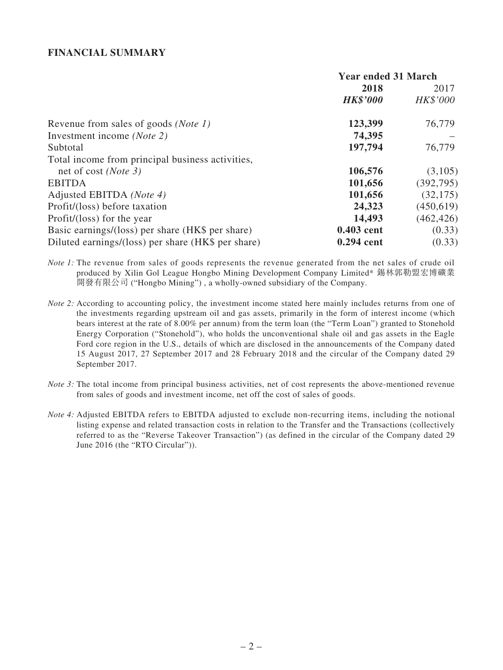#### **FINANCIAL SUMMARY**

|                                                    | <b>Year ended 31 March</b> |            |
|----------------------------------------------------|----------------------------|------------|
|                                                    | 2018                       | 2017       |
|                                                    | <b>HK\$'000</b>            | HK\$'000   |
| Revenue from sales of goods ( <i>Note 1</i> )      | 123,399                    | 76,779     |
| Investment income (Note 2)                         | 74,395                     |            |
| Subtotal                                           | 197,794                    | 76,779     |
| Total income from principal business activities,   |                            |            |
| net of cost ( <i>Note 3</i> )                      | 106,576                    | (3,105)    |
| <b>EBITDA</b>                                      | 101,656                    | (392, 795) |
| Adjusted EBITDA (Note 4)                           | 101,656                    | (32, 175)  |
| Profit/(loss) before taxation                      | 24,323                     | (450, 619) |
| Profit/(loss) for the year                         | 14,493                     | (462, 426) |
| Basic earnings/(loss) per share (HK\$ per share)   | 0.403 cent                 | (0.33)     |
| Diluted earnings/(loss) per share (HK\$ per share) | 0.294 cent                 | (0.33)     |

*Note 1*: The revenue from sales of goods represents the revenue generated from the net sales of crude oil produced by Xilin Gol League Hongbo Mining Development Company Limited\* 錫林郭勒盟宏博礦業 開發有限公司 ("Hongbo Mining") , a wholly-owned subsidiary of the Company.

- *Note 2:* According to accounting policy, the investment income stated here mainly includes returns from one of the investments regarding upstream oil and gas assets, primarily in the form of interest income (which bears interest at the rate of 8.00% per annum) from the term loan (the "Term Loan") granted to Stonehold Energy Corporation ("Stonehold"), who holds the unconventional shale oil and gas assets in the Eagle Ford core region in the U.S., details of which are disclosed in the announcements of the Company dated 15 August 2017, 27 September 2017 and 28 February 2018 and the circular of the Company dated 29 September 2017.
- *Note 3:* The total income from principal business activities, net of cost represents the above-mentioned revenue from sales of goods and investment income, net off the cost of sales of goods.
- *Note 4:* Adjusted EBITDA refers to EBITDA adjusted to exclude non-recurring items, including the notional listing expense and related transaction costs in relation to the Transfer and the Transactions (collectively referred to as the "Reverse Takeover Transaction") (as defined in the circular of the Company dated 29 June 2016 (the "RTO Circular")).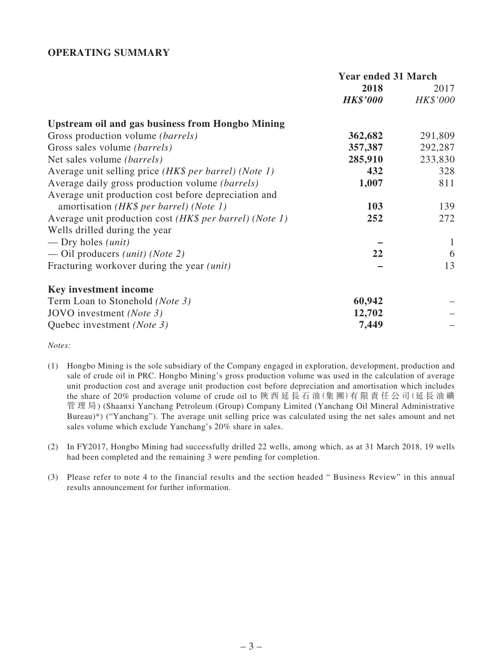#### **OPERATING SUMMARY**

|                                                         | <b>Year ended 31 March</b> |          |
|---------------------------------------------------------|----------------------------|----------|
|                                                         | 2018                       | 2017     |
|                                                         | <i><b>HK\$'000</b></i>     | HK\$'000 |
| <b>Upstream oil and gas business from Hongbo Mining</b> |                            |          |
| Gross production volume <i>(barrels)</i>                | 362,682                    | 291,809  |
| Gross sales volume <i>(barrels)</i>                     | 357,387                    | 292,287  |
| Net sales volume <i>(barrels)</i>                       | 285,910                    | 233,830  |
| Average unit selling price (HK\$ per barrel) (Note 1)   | 432                        | 328      |
| Average daily gross production volume (barrels)         | 1,007                      | 811      |
| Average unit production cost before depreciation and    |                            |          |
| amortisation (HK\$ per barrel) (Note 1)                 | 103                        | 139      |
| Average unit production cost (HK\$ per barrel) (Note 1) | 252                        | 272      |
| Wells drilled during the year                           |                            |          |
| — Dry holes $(unit)$                                    |                            | 1        |
| — Oil producers <i>(unit) (Note 2)</i>                  | 22                         | 6        |
| Fracturing workover during the year <i>(unit)</i>       |                            | 13       |
| <b>Key investment income</b>                            |                            |          |
| Term Loan to Stonehold ( <i>Note 3</i> )                | 60,942                     |          |
| JOVO investment (Note 3)                                | 12,702                     |          |
| Quebec investment (Note 3)                              | 7,449                      |          |

*Notes:*

- (1) Hongbo Mining is the sole subsidiary of the Company engaged in exploration, development, production and sale of crude oil in PRC. Hongbo Mining's gross production volume was used in the calculation of average unit production cost and average unit production cost before depreciation and amortisation which includes the share of 20% production volume of crude oil to 陝 西 延 長 石 油(集 團)有 限 責 任 公 司(延 長 油 礦 管 理 局) (Shaanxi Yanchang Petroleum (Group) Company Limited (Yanchang Oil Mineral Administrative Bureau)\*) ("Yanchang"). The average unit selling price was calculated using the net sales amount and net sales volume which exclude Yanchang's 20% share in sales.
- (2) In FY2017, Hongbo Mining had successfully drilled 22 wells, among which, as at 31 March 2018, 19 wells had been completed and the remaining 3 were pending for completion.
- (3) Please refer to note 4 to the financial results and the section headed " Business Review" in this annual results announcement for further information.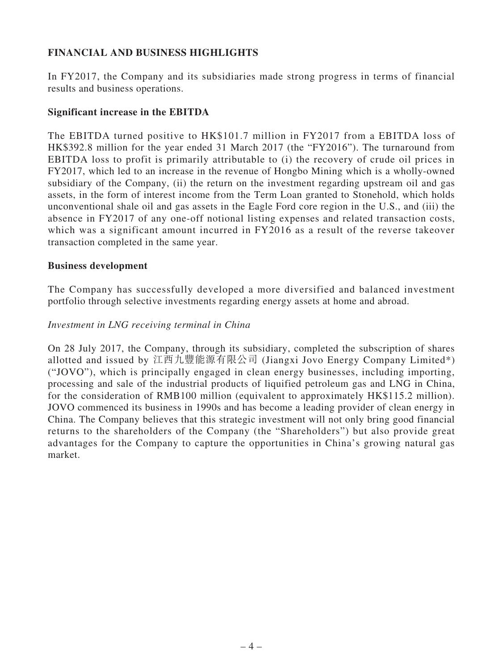## **FINANCIAL AND BUSINESS HIGHLIGHTS**

In FY2017, the Company and its subsidiaries made strong progress in terms of financial results and business operations.

#### **Significant increase in the EBITDA**

The EBITDA turned positive to HK\$101.7 million in FY2017 from a EBITDA loss of HK\$392.8 million for the year ended 31 March 2017 (the "FY2016"). The turnaround from EBITDA loss to profit is primarily attributable to (i) the recovery of crude oil prices in FY2017, which led to an increase in the revenue of Hongbo Mining which is a wholly-owned subsidiary of the Company, (ii) the return on the investment regarding upstream oil and gas assets, in the form of interest income from the Term Loan granted to Stonehold, which holds unconventional shale oil and gas assets in the Eagle Ford core region in the U.S., and (iii) the absence in FY2017 of any one-off notional listing expenses and related transaction costs, which was a significant amount incurred in FY2016 as a result of the reverse takeover transaction completed in the same year.

#### **Business development**

The Company has successfully developed a more diversified and balanced investment portfolio through selective investments regarding energy assets at home and abroad.

#### *Investment in LNG receiving terminal in China*

On 28 July 2017, the Company, through its subsidiary, completed the subscription of shares allotted and issued by 江西九豐能源有限公司 (Jiangxi Jovo Energy Company Limited\*) ("JOVO"), which is principally engaged in clean energy businesses, including importing, processing and sale of the industrial products of liquified petroleum gas and LNG in China, for the consideration of RMB100 million (equivalent to approximately HK\$115.2 million). JOVO commenced its business in 1990s and has become a leading provider of clean energy in China. The Company believes that this strategic investment will not only bring good financial returns to the shareholders of the Company (the "Shareholders") but also provide great advantages for the Company to capture the opportunities in China's growing natural gas market.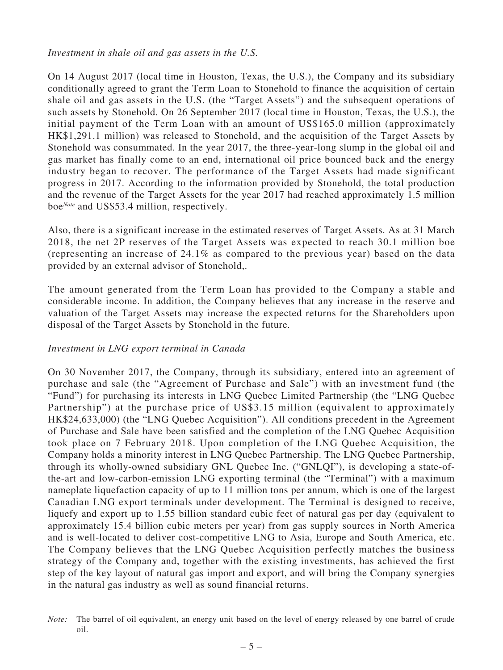*Investment in shale oil and gas assets in the U.S.*

On 14 August 2017 (local time in Houston, Texas, the U.S.), the Company and its subsidiary conditionally agreed to grant the Term Loan to Stonehold to finance the acquisition of certain shale oil and gas assets in the U.S. (the "Target Assets") and the subsequent operations of such assets by Stonehold. On 26 September 2017 (local time in Houston, Texas, the U.S.), the initial payment of the Term Loan with an amount of US\$165.0 million (approximately HK\$1,291.1 million) was released to Stonehold, and the acquisition of the Target Assets by Stonehold was consummated. In the year 2017, the three-year-long slump in the global oil and gas market has finally come to an end, international oil price bounced back and the energy industry began to recover. The performance of the Target Assets had made significant progress in 2017. According to the information provided by Stonehold, the total production and the revenue of the Target Assets for the year 2017 had reached approximately 1.5 million boe*Note* and US\$53.4 million, respectively.

Also, there is a significant increase in the estimated reserves of Target Assets. As at 31 March 2018, the net 2P reserves of the Target Assets was expected to reach 30.1 million boe (representing an increase of 24.1% as compared to the previous year) based on the data provided by an external advisor of Stonehold,.

The amount generated from the Term Loan has provided to the Company a stable and considerable income. In addition, the Company believes that any increase in the reserve and valuation of the Target Assets may increase the expected returns for the Shareholders upon disposal of the Target Assets by Stonehold in the future.

## *Investment in LNG export terminal in Canada*

On 30 November 2017, the Company, through its subsidiary, entered into an agreement of purchase and sale (the "Agreement of Purchase and Sale") with an investment fund (the "Fund") for purchasing its interests in LNG Quebec Limited Partnership (the "LNG Quebec Partnership") at the purchase price of US\$3.15 million (equivalent to approximately HK\$24,633,000) (the "LNG Quebec Acquisition"). All conditions precedent in the Agreement of Purchase and Sale have been satisfied and the completion of the LNG Quebec Acquisition took place on 7 February 2018. Upon completion of the LNG Quebec Acquisition, the Company holds a minority interest in LNG Quebec Partnership. The LNG Quebec Partnership, through its wholly-owned subsidiary GNL Quebec Inc. ("GNLQI"), is developing a state-ofthe-art and low-carbon-emission LNG exporting terminal (the "Terminal") with a maximum nameplate liquefaction capacity of up to 11 million tons per annum, which is one of the largest Canadian LNG export terminals under development. The Terminal is designed to receive, liquefy and export up to 1.55 billion standard cubic feet of natural gas per day (equivalent to approximately 15.4 billion cubic meters per year) from gas supply sources in North America and is well-located to deliver cost-competitive LNG to Asia, Europe and South America, etc. The Company believes that the LNG Quebec Acquisition perfectly matches the business strategy of the Company and, together with the existing investments, has achieved the first step of the key layout of natural gas import and export, and will bring the Company synergies in the natural gas industry as well as sound financial returns.

*Note:* The barrel of oil equivalent, an energy unit based on the level of energy released by one barrel of crude oil.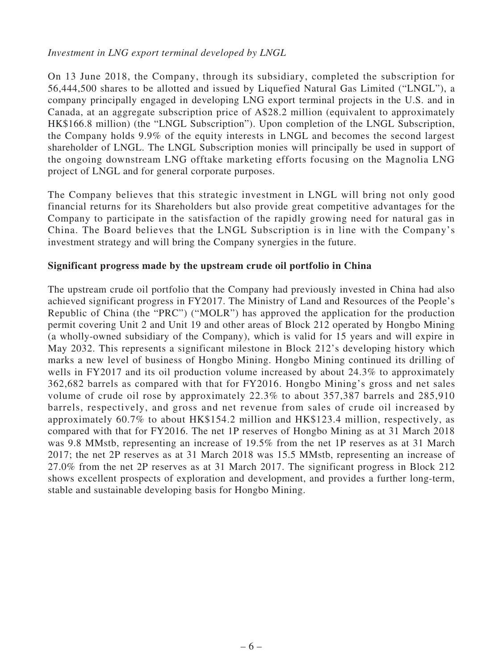#### *Investment in LNG export terminal developed by LNGL*

On 13 June 2018, the Company, through its subsidiary, completed the subscription for 56,444,500 shares to be allotted and issued by Liquefied Natural Gas Limited ("LNGL"), a company principally engaged in developing LNG export terminal projects in the U.S. and in Canada, at an aggregate subscription price of A\$28.2 million (equivalent to approximately HK\$166.8 million) (the "LNGL Subscription"). Upon completion of the LNGL Subscription, the Company holds 9.9% of the equity interests in LNGL and becomes the second largest shareholder of LNGL. The LNGL Subscription monies will principally be used in support of the ongoing downstream LNG offtake marketing efforts focusing on the Magnolia LNG project of LNGL and for general corporate purposes.

The Company believes that this strategic investment in LNGL will bring not only good financial returns for its Shareholders but also provide great competitive advantages for the Company to participate in the satisfaction of the rapidly growing need for natural gas in China. The Board believes that the LNGL Subscription is in line with the Company's investment strategy and will bring the Company synergies in the future.

#### **Significant progress made by the upstream crude oil portfolio in China**

The upstream crude oil portfolio that the Company had previously invested in China had also achieved significant progress in FY2017. The Ministry of Land and Resources of the People's Republic of China (the "PRC") ("MOLR") has approved the application for the production permit covering Unit 2 and Unit 19 and other areas of Block 212 operated by Hongbo Mining (a wholly-owned subsidiary of the Company), which is valid for 15 years and will expire in May 2032. This represents a significant milestone in Block 212's developing history which marks a new level of business of Hongbo Mining. Hongbo Mining continued its drilling of wells in FY2017 and its oil production volume increased by about 24.3% to approximately 362,682 barrels as compared with that for FY2016. Hongbo Mining's gross and net sales volume of crude oil rose by approximately 22.3% to about 357,387 barrels and 285,910 barrels, respectively, and gross and net revenue from sales of crude oil increased by approximately 60.7% to about HK\$154.2 million and HK\$123.4 million, respectively, as compared with that for FY2016. The net 1P reserves of Hongbo Mining as at 31 March 2018 was 9.8 MMstb, representing an increase of 19.5% from the net 1P reserves as at 31 March 2017; the net 2P reserves as at 31 March 2018 was 15.5 MMstb, representing an increase of 27.0% from the net 2P reserves as at 31 March 2017. The significant progress in Block 212 shows excellent prospects of exploration and development, and provides a further long-term, stable and sustainable developing basis for Hongbo Mining.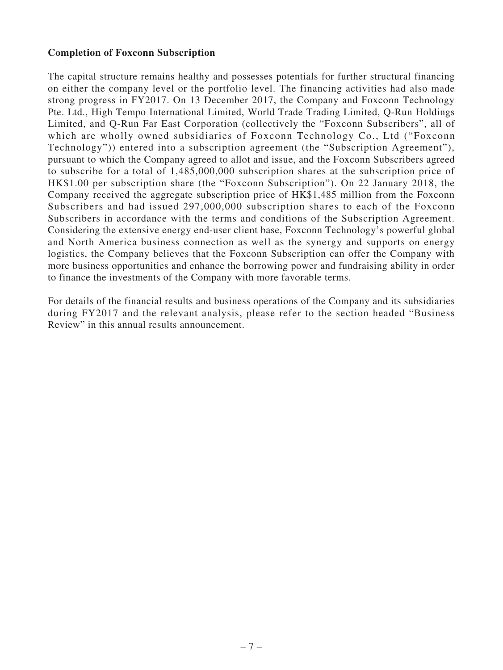#### **Completion of Foxconn Subscription**

The capital structure remains healthy and possesses potentials for further structural financing on either the company level or the portfolio level. The financing activities had also made strong progress in FY2017. On 13 December 2017, the Company and Foxconn Technology Pte. Ltd., High Tempo International Limited, World Trade Trading Limited, Q-Run Holdings Limited, and Q-Run Far East Corporation (collectively the "Foxconn Subscribers", all of which are wholly owned subsidiaries of Foxconn Technology Co., Ltd ("Foxconn Technology")) entered into a subscription agreement (the "Subscription Agreement"), pursuant to which the Company agreed to allot and issue, and the Foxconn Subscribers agreed to subscribe for a total of 1,485,000,000 subscription shares at the subscription price of HK\$1.00 per subscription share (the "Foxconn Subscription"). On 22 January 2018, the Company received the aggregate subscription price of HK\$1,485 million from the Foxconn Subscribers and had issued 297,000,000 subscription shares to each of the Foxconn Subscribers in accordance with the terms and conditions of the Subscription Agreement. Considering the extensive energy end-user client base, Foxconn Technology's powerful global and North America business connection as well as the synergy and supports on energy logistics, the Company believes that the Foxconn Subscription can offer the Company with more business opportunities and enhance the borrowing power and fundraising ability in order to finance the investments of the Company with more favorable terms.

For details of the financial results and business operations of the Company and its subsidiaries during FY2017 and the relevant analysis, please refer to the section headed "Business Review" in this annual results announcement.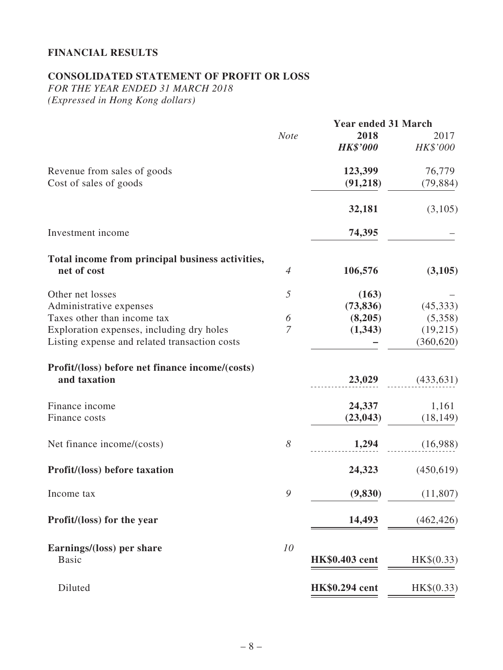## **FINANCIAL RESULTS**

## **CONSOLIDATED STATEMENT OF PROFIT OR LOSS**

*FOR THE YEAR ENDED 31 MARCH 2018 (Expressed in Hong Kong dollars)*

|                                                                 |             | <b>Year ended 31 March</b> |            |
|-----------------------------------------------------------------|-------------|----------------------------|------------|
|                                                                 | <b>Note</b> | 2018                       | 2017       |
|                                                                 |             | <b>HK\$'000</b>            | HK\$'000   |
| Revenue from sales of goods                                     |             | 123,399                    | 76,779     |
| Cost of sales of goods                                          |             | (91, 218)                  | (79, 884)  |
|                                                                 |             | 32,181                     | (3,105)    |
| Investment income                                               |             | 74,395                     |            |
| Total income from principal business activities,                |             |                            |            |
| net of cost                                                     | 4           | 106,576                    | (3,105)    |
| Other net losses                                                | 5           | (163)                      |            |
| Administrative expenses                                         |             | (73, 836)                  | (45,333)   |
| Taxes other than income tax                                     | 6           | (8,205)                    | (5,358)    |
| Exploration expenses, including dry holes                       | 7           | (1,343)                    | (19,215)   |
| Listing expense and related transaction costs                   |             |                            | (360, 620) |
| Profit/(loss) before net finance income/(costs)<br>and taxation |             | 23,029                     | (433, 631) |
| Finance income                                                  |             | 24,337                     | 1,161      |
| Finance costs                                                   |             | (23, 043)                  | (18, 149)  |
| Net finance income/(costs)                                      | 8           | 1,294                      | (16,988)   |
| <b>Profit/(loss) before taxation</b>                            |             | 24,323                     | (450,619)  |
| Income tax                                                      | 9           | (9, 830)                   | (11,807)   |
| Profit/(loss) for the year                                      |             | 14,493                     | (462, 426) |
| Earnings/(loss) per share                                       | 10          |                            |            |
| <b>Basic</b>                                                    |             | <b>HK\$0.403</b> cent      | HK\$(0.33) |
| Diluted                                                         |             | <b>HK\$0.294</b> cent      | HK\$(0.33) |
|                                                                 |             |                            |            |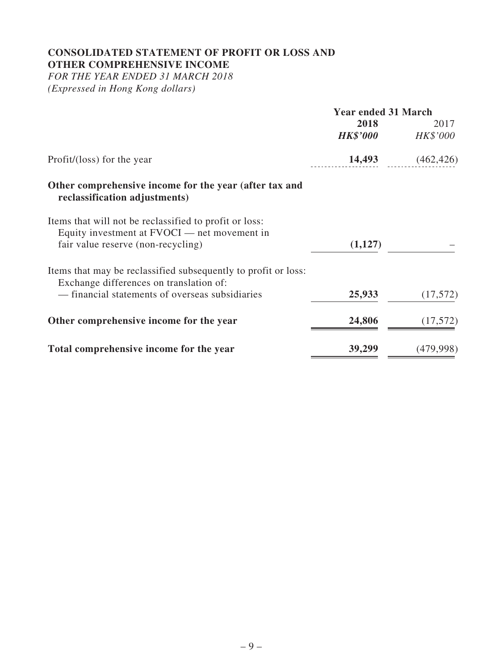# **CONSOLIDATED STATEMENT OF PROFIT OR LOSS AND OTHER COMPREHENSIVE INCOME**

*FOR THE YEAR ENDED 31 MARCH 2018 (Expressed in Hong Kong dollars)*

|                                                                                                                                              | <b>Year ended 31 March</b> |            |
|----------------------------------------------------------------------------------------------------------------------------------------------|----------------------------|------------|
|                                                                                                                                              | 2018                       | 2017       |
|                                                                                                                                              | <b>HK\$'000</b>            | HK\$'000   |
| Profit/(loss) for the year                                                                                                                   | 14,493                     | (462, 426) |
| Other comprehensive income for the year (after tax and<br>reclassification adjustments)                                                      |                            |            |
| Items that will not be reclassified to profit or loss:<br>Equity investment at FVOCI — net movement in<br>fair value reserve (non-recycling) | (1,127)                    |            |
| Items that may be reclassified subsequently to profit or loss:<br>Exchange differences on translation of:                                    |                            |            |
| — financial statements of overseas subsidiaries                                                                                              | 25,933                     | (17,572)   |
| Other comprehensive income for the year                                                                                                      | 24,806                     | (17,572)   |
| Total comprehensive income for the year                                                                                                      | 39,299                     | (479,998)  |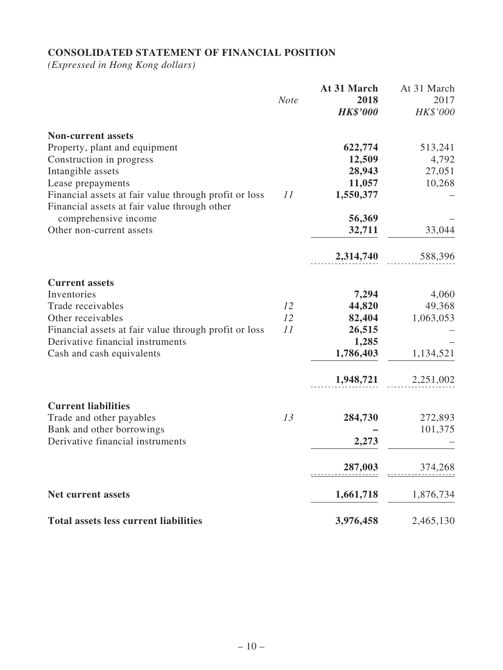## **CONSOLIDATED STATEMENT OF FINANCIAL POSITION**

*(Expressed in Hong Kong dollars)*

|                                                                                                       | <b>Note</b> | At 31 March<br>2018<br><b>HK\$'000</b> | At 31 March<br>2017<br>HK\$'000 |
|-------------------------------------------------------------------------------------------------------|-------------|----------------------------------------|---------------------------------|
| <b>Non-current assets</b>                                                                             |             |                                        |                                 |
| Property, plant and equipment                                                                         |             | 622,774                                | 513,241                         |
| Construction in progress                                                                              |             | 12,509                                 | 4,792                           |
| Intangible assets                                                                                     |             | 28,943                                 | 27,051                          |
| Lease prepayments                                                                                     |             | 11,057                                 | 10,268                          |
| Financial assets at fair value through profit or loss<br>Financial assets at fair value through other | 11          | 1,550,377                              |                                 |
| comprehensive income                                                                                  |             | 56,369                                 |                                 |
| Other non-current assets                                                                              |             | 32,711                                 | 33,044                          |
|                                                                                                       |             | 2,314,740                              | 588,396                         |
| <b>Current assets</b>                                                                                 |             |                                        |                                 |
| Inventories                                                                                           |             | 7,294                                  | 4,060                           |
| Trade receivables                                                                                     | 12          | 44,820                                 | 49,368                          |
| Other receivables                                                                                     | 12          | 82,404                                 | 1,063,053                       |
| Financial assets at fair value through profit or loss                                                 | 11          | 26,515                                 |                                 |
| Derivative financial instruments                                                                      |             | 1,285                                  |                                 |
| Cash and cash equivalents                                                                             |             | 1,786,403                              | 1,134,521                       |
|                                                                                                       |             | 1,948,721                              | 2,251,002                       |
| <b>Current liabilities</b>                                                                            |             |                                        |                                 |
| Trade and other payables                                                                              | 13          | 284,730                                | 272,893                         |
| Bank and other borrowings                                                                             |             |                                        | 101,375                         |
| Derivative financial instruments                                                                      |             | 2,273                                  |                                 |
|                                                                                                       |             | 287,003                                | 374,268                         |
| <b>Net current assets</b>                                                                             |             | 1,661,718                              | 1,876,734                       |
|                                                                                                       |             |                                        |                                 |
| <b>Total assets less current liabilities</b>                                                          |             | 3,976,458                              | 2,465,130                       |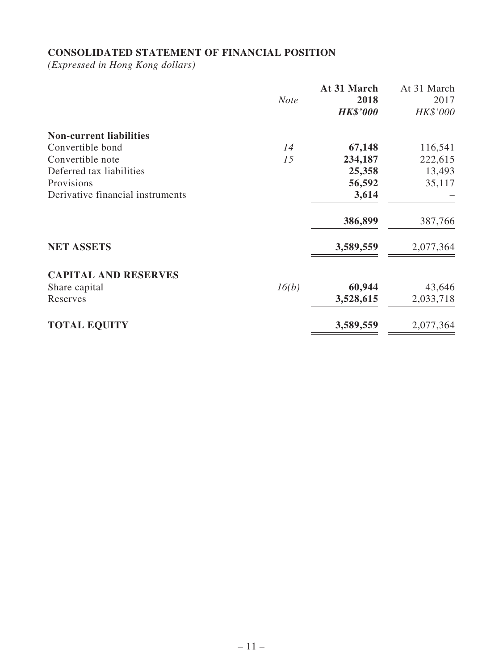## **CONSOLIDATED STATEMENT OF FINANCIAL POSITION**

*(Expressed in Hong Kong dollars)*

|                                  | <b>Note</b> | At 31 March<br>2018<br><b>HK\$'000</b> | At 31 March<br>2017<br>HK\$'000 |
|----------------------------------|-------------|----------------------------------------|---------------------------------|
| <b>Non-current liabilities</b>   |             |                                        |                                 |
| Convertible bond                 | 14          | 67,148                                 | 116,541                         |
| Convertible note                 | 15          | 234,187                                | 222,615                         |
| Deferred tax liabilities         |             | 25,358                                 | 13,493                          |
| Provisions                       |             | 56,592                                 | 35,117                          |
| Derivative financial instruments |             | 3,614                                  |                                 |
|                                  |             | 386,899                                | 387,766                         |
| <b>NET ASSETS</b>                |             | 3,589,559                              | 2,077,364                       |
| <b>CAPITAL AND RESERVES</b>      |             |                                        |                                 |
| Share capital                    | 16(b)       | 60,944                                 | 43,646                          |
| Reserves                         |             | 3,528,615                              | 2,033,718                       |
| <b>TOTAL EQUITY</b>              |             | 3,589,559                              | 2,077,364                       |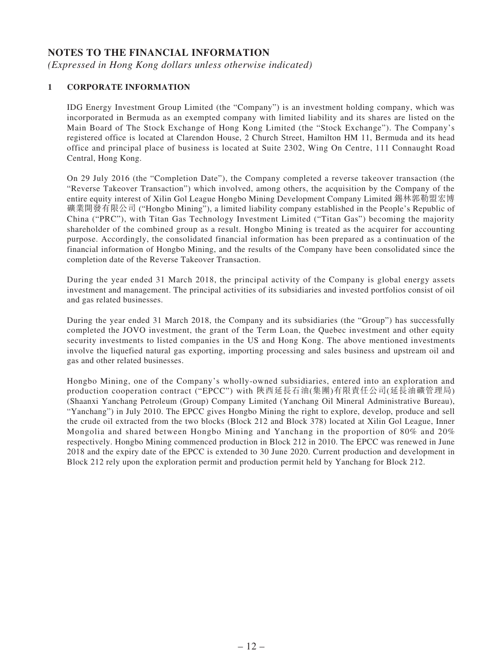#### **NOTES TO THE FINANCIAL INFORMATION**

*(Expressed in Hong Kong dollars unless otherwise indicated)*

#### **1 CORPORATE INFORMATION**

IDG Energy Investment Group Limited (the "Company") is an investment holding company, which was incorporated in Bermuda as an exempted company with limited liability and its shares are listed on the Main Board of The Stock Exchange of Hong Kong Limited (the "Stock Exchange"). The Company's registered office is located at Clarendon House, 2 Church Street, Hamilton HM 11, Bermuda and its head office and principal place of business is located at Suite 2302, Wing On Centre, 111 Connaught Road Central, Hong Kong.

On 29 July 2016 (the "Completion Date"), the Company completed a reverse takeover transaction (the "Reverse Takeover Transaction") which involved, among others, the acquisition by the Company of the entire equity interest of Xilin Gol League Hongbo Mining Development Company Limited 錫林郭勒盟宏博 礦業開發有限公司 ("Hongbo Mining"), a limited liability company established in the People's Republic of China ("PRC"), with Titan Gas Technology Investment Limited ("Titan Gas") becoming the majority shareholder of the combined group as a result. Hongbo Mining is treated as the acquirer for accounting purpose. Accordingly, the consolidated financial information has been prepared as a continuation of the financial information of Hongbo Mining, and the results of the Company have been consolidated since the completion date of the Reverse Takeover Transaction.

During the year ended 31 March 2018, the principal activity of the Company is global energy assets investment and management. The principal activities of its subsidiaries and invested portfolios consist of oil and gas related businesses.

During the year ended 31 March 2018, the Company and its subsidiaries (the "Group") has successfully completed the JOVO investment, the grant of the Term Loan, the Quebec investment and other equity security investments to listed companies in the US and Hong Kong. The above mentioned investments involve the liquefied natural gas exporting, importing processing and sales business and upstream oil and gas and other related businesses.

Hongbo Mining, one of the Company's wholly-owned subsidiaries, entered into an exploration and production cooperation contract ("EPCC") with 陝西延長石油(集團)有限責任公司(延長油礦管理局) (Shaanxi Yanchang Petroleum (Group) Company Limited (Yanchang Oil Mineral Administrative Bureau), "Yanchang") in July 2010. The EPCC gives Hongbo Mining the right to explore, develop, produce and sell the crude oil extracted from the two blocks (Block 212 and Block 378) located at Xilin Gol League, Inner Mongolia and shared between Hongbo Mining and Yanchang in the proportion of 80% and 20% respectively. Hongbo Mining commenced production in Block 212 in 2010. The EPCC was renewed in June 2018 and the expiry date of the EPCC is extended to 30 June 2020. Current production and development in Block 212 rely upon the exploration permit and production permit held by Yanchang for Block 212.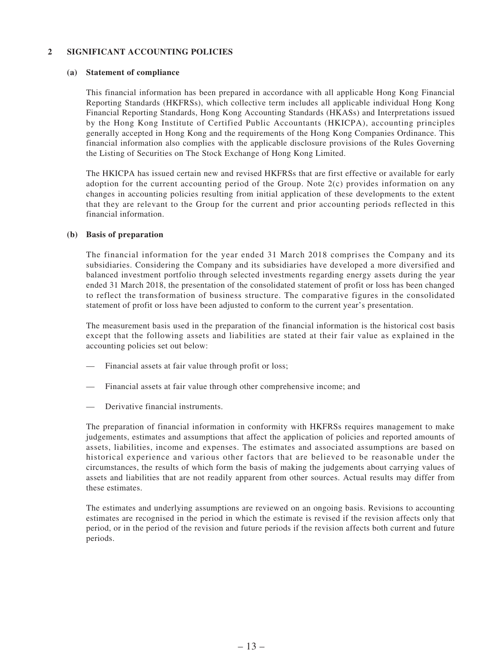#### **2 SIGNIFICANT ACCOUNTING POLICIES**

#### **(a) Statement of compliance**

This financial information has been prepared in accordance with all applicable Hong Kong Financial Reporting Standards (HKFRSs), which collective term includes all applicable individual Hong Kong Financial Reporting Standards, Hong Kong Accounting Standards (HKASs) and Interpretations issued by the Hong Kong Institute of Certified Public Accountants (HKICPA), accounting principles generally accepted in Hong Kong and the requirements of the Hong Kong Companies Ordinance. This financial information also complies with the applicable disclosure provisions of the Rules Governing the Listing of Securities on The Stock Exchange of Hong Kong Limited.

The HKICPA has issued certain new and revised HKFRSs that are first effective or available for early adoption for the current accounting period of the Group. Note 2(c) provides information on any changes in accounting policies resulting from initial application of these developments to the extent that they are relevant to the Group for the current and prior accounting periods reflected in this financial information.

#### **(b) Basis of preparation**

The financial information for the year ended 31 March 2018 comprises the Company and its subsidiaries. Considering the Company and its subsidiaries have developed a more diversified and balanced investment portfolio through selected investments regarding energy assets during the year ended 31 March 2018, the presentation of the consolidated statement of profit or loss has been changed to reflect the transformation of business structure. The comparative figures in the consolidated statement of profit or loss have been adjusted to conform to the current year's presentation.

The measurement basis used in the preparation of the financial information is the historical cost basis except that the following assets and liabilities are stated at their fair value as explained in the accounting policies set out below:

- Financial assets at fair value through profit or loss;
- Financial assets at fair value through other comprehensive income; and
- Derivative financial instruments.

The preparation of financial information in conformity with HKFRSs requires management to make judgements, estimates and assumptions that affect the application of policies and reported amounts of assets, liabilities, income and expenses. The estimates and associated assumptions are based on historical experience and various other factors that are believed to be reasonable under the circumstances, the results of which form the basis of making the judgements about carrying values of assets and liabilities that are not readily apparent from other sources. Actual results may differ from these estimates.

The estimates and underlying assumptions are reviewed on an ongoing basis. Revisions to accounting estimates are recognised in the period in which the estimate is revised if the revision affects only that period, or in the period of the revision and future periods if the revision affects both current and future periods.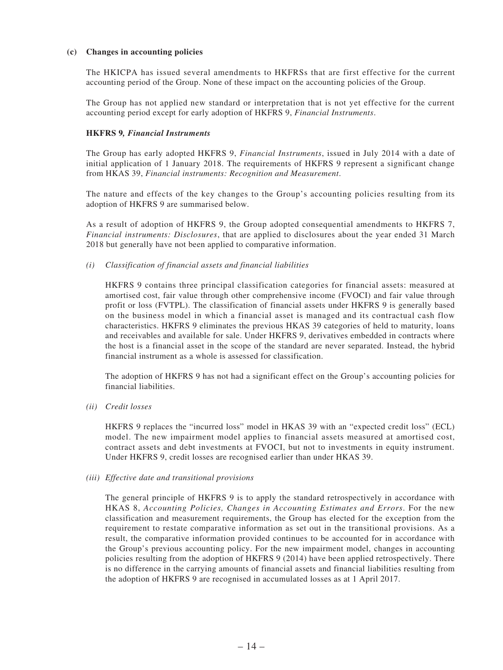#### **(c) Changes in accounting policies**

The HKICPA has issued several amendments to HKFRSs that are first effective for the current accounting period of the Group. None of these impact on the accounting policies of the Group.

The Group has not applied new standard or interpretation that is not yet effective for the current accounting period except for early adoption of HKFRS 9, *Financial Instruments*.

#### **HKFRS 9***, Financial Instruments*

The Group has early adopted HKFRS 9, *Financial Instruments*, issued in July 2014 with a date of initial application of 1 January 2018. The requirements of HKFRS 9 represent a significant change from HKAS 39, *Financial instruments: Recognition and Measurement*.

The nature and effects of the key changes to the Group's accounting policies resulting from its adoption of HKFRS 9 are summarised below.

As a result of adoption of HKFRS 9, the Group adopted consequential amendments to HKFRS 7, *Financial instruments: Disclosures*, that are applied to disclosures about the year ended 31 March 2018 but generally have not been applied to comparative information.

*(i) Classification of financial assets and financial liabilities*

HKFRS 9 contains three principal classification categories for financial assets: measured at amortised cost, fair value through other comprehensive income (FVOCI) and fair value through profit or loss (FVTPL). The classification of financial assets under HKFRS 9 is generally based on the business model in which a financial asset is managed and its contractual cash flow characteristics. HKFRS 9 eliminates the previous HKAS 39 categories of held to maturity, loans and receivables and available for sale. Under HKFRS 9, derivatives embedded in contracts where the host is a financial asset in the scope of the standard are never separated. Instead, the hybrid financial instrument as a whole is assessed for classification.

The adoption of HKFRS 9 has not had a significant effect on the Group's accounting policies for financial liabilities.

*(ii) Credit losses*

HKFRS 9 replaces the "incurred loss" model in HKAS 39 with an "expected credit loss" (ECL) model. The new impairment model applies to financial assets measured at amortised cost, contract assets and debt investments at FVOCI, but not to investments in equity instrument. Under HKFRS 9, credit losses are recognised earlier than under HKAS 39.

#### *(iii) Effective date and transitional provisions*

The general principle of HKFRS 9 is to apply the standard retrospectively in accordance with HKAS 8, *Accounting Policies, Changes in Accounting Estimates and Errors*. For the new classification and measurement requirements, the Group has elected for the exception from the requirement to restate comparative information as set out in the transitional provisions. As a result, the comparative information provided continues to be accounted for in accordance with the Group's previous accounting policy. For the new impairment model, changes in accounting policies resulting from the adoption of HKFRS 9 (2014) have been applied retrospectively. There is no difference in the carrying amounts of financial assets and financial liabilities resulting from the adoption of HKFRS 9 are recognised in accumulated losses as at 1 April 2017.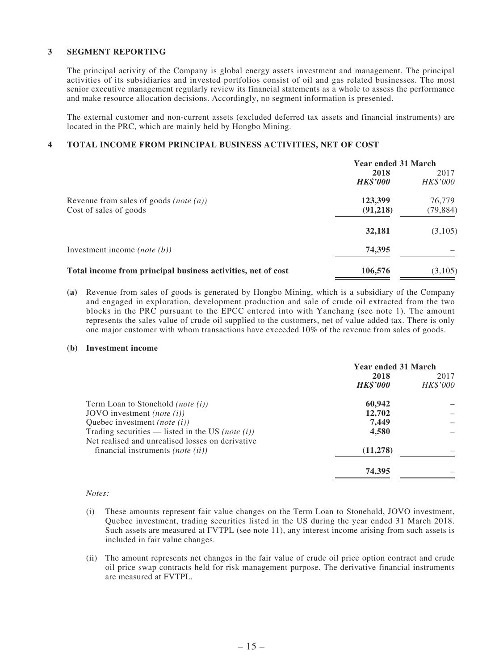#### **3 SEGMENT REPORTING**

The principal activity of the Company is global energy assets investment and management. The principal activities of its subsidiaries and invested portfolios consist of oil and gas related businesses. The most senior executive management regularly review its financial statements as a whole to assess the performance and make resource allocation decisions. Accordingly, no segment information is presented.

The external customer and non-current assets (excluded deferred tax assets and financial instruments) are located in the PRC, which are mainly held by Hongbo Mining.

#### **4 TOTAL INCOME FROM PRINCIPAL BUSINESS ACTIVITIES, NET OF COST**

|                                                              | <b>Year ended 31 March</b> |           |
|--------------------------------------------------------------|----------------------------|-----------|
|                                                              | 2018                       | 2017      |
|                                                              | <b>HK\$'000</b>            | HK\$'000  |
| Revenue from sales of goods (note $(a)$ )                    | 123,399                    | 76,779    |
| Cost of sales of goods                                       | (91,218)                   | (79, 884) |
|                                                              | 32,181                     | (3,105)   |
| Investment income ( <i>note</i> $(b)$ )                      | 74,395                     |           |
| Total income from principal business activities, net of cost | 106,576                    | (3,105)   |

**(a)** Revenue from sales of goods is generated by Hongbo Mining, which is a subsidiary of the Company and engaged in exploration, development production and sale of crude oil extracted from the two blocks in the PRC pursuant to the EPCC entered into with Yanchang (see note 1). The amount represents the sales value of crude oil supplied to the customers, net of value added tax. There is only one major customer with whom transactions have exceeded 10% of the revenue from sales of goods.

#### **(b) Investment income**

|                                                                                              | <b>Year ended 31 March</b> |                  |
|----------------------------------------------------------------------------------------------|----------------------------|------------------|
|                                                                                              | 2018<br><b>HK\$'000</b>    | 2017<br>HK\$'000 |
| Term Loan to Stonehold <i>(note (i))</i>                                                     | 60,942                     |                  |
| JOVO investment ( <i>note</i> $(i)$ )                                                        | 12,702                     |                  |
| Quebec investment ( <i>note</i> $(i)$ )                                                      | 7.449                      |                  |
| Trading securities — listed in the US (note $(i)$ )                                          | 4,580                      |                  |
| Net realised and unrealised losses on derivative<br>financial instruments <i>(note (ii))</i> | (11, 278)                  |                  |
|                                                                                              | 74,395                     |                  |
|                                                                                              |                            |                  |

#### *Notes:*

- (i) These amounts represent fair value changes on the Term Loan to Stonehold, JOVO investment, Quebec investment, trading securities listed in the US during the year ended 31 March 2018. Such assets are measured at FVTPL (see note 11), any interest income arising from such assets is included in fair value changes.
- (ii) The amount represents net changes in the fair value of crude oil price option contract and crude oil price swap contracts held for risk management purpose. The derivative financial instruments are measured at FVTPL.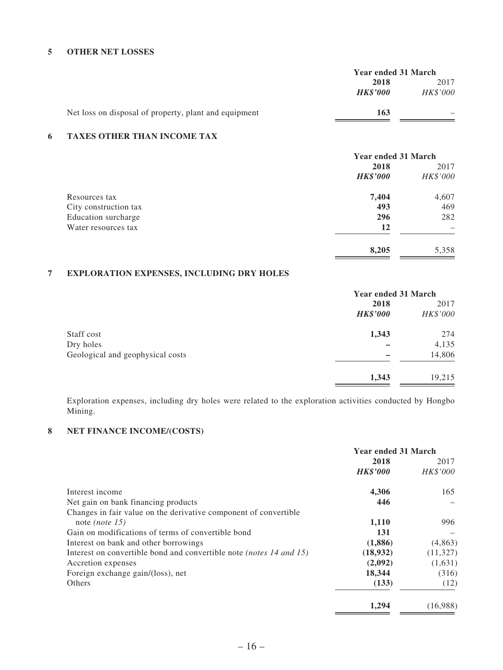#### **5 OTHER NET LOSSES**

|                                                       | <b>Year ended 31 March</b> |                 |
|-------------------------------------------------------|----------------------------|-----------------|
|                                                       | 2018                       | 2017            |
|                                                       | <b>HK\$'000</b>            | <b>HK\$'000</b> |
| Net loss on disposal of property, plant and equipment | 163                        |                 |

#### **6 TAXES OTHER THAN INCOME TAX**

|                       | <b>Year ended 31 March</b> |          |
|-----------------------|----------------------------|----------|
|                       | 2018                       | 2017     |
|                       | <b>HK\$'000</b>            | HK\$'000 |
| Resources tax         | 7,404                      | 4,607    |
| City construction tax | 493                        | 469      |
| Education surcharge   | 296                        | 282      |
| Water resources tax   | <b>12</b>                  |          |
|                       | 8,205                      | 5,358    |

#### **7 EXPLORATION EXPENSES, INCLUDING DRY HOLES**

|                                  | <b>Year ended 31 March</b> |          |
|----------------------------------|----------------------------|----------|
|                                  | 2018                       | 2017     |
|                                  | <b>HK\$'000</b>            | HK\$'000 |
| Staff cost                       | 1,343                      | 274      |
| Dry holes                        |                            | 4,135    |
| Geological and geophysical costs |                            | 14,806   |
|                                  | 1,343                      | 19,215   |

Exploration expenses, including dry holes were related to the exploration activities conducted by Hongbo Mining.

#### **8 NET FINANCE INCOME/(COSTS)**

|                                                                            | <b>Year ended 31 March</b> |           |
|----------------------------------------------------------------------------|----------------------------|-----------|
|                                                                            | 2018                       | 2017      |
|                                                                            | <b>HK\$'000</b>            | HK\$'000  |
| Interest income                                                            | 4,306                      | 165       |
| Net gain on bank financing products                                        | 446                        |           |
| Changes in fair value on the derivative component of convertible           |                            |           |
| note ( <i>note</i> 15)                                                     | 1,110                      | 996       |
| Gain on modifications of terms of convertible bond                         | 131                        |           |
| Interest on bank and other borrowings                                      | (1,886)                    | (4,863)   |
| Interest on convertible bond and convertible note <i>(notes 14 and 15)</i> | (18,932)                   | (11, 327) |
| Accretion expenses                                                         | (2,092)                    | (1,631)   |
| Foreign exchange gain/(loss), net                                          | 18,344                     | (316)     |
| Others                                                                     | (133)                      | (12)      |
|                                                                            | 1.294                      | (16,988)  |

 $\equiv$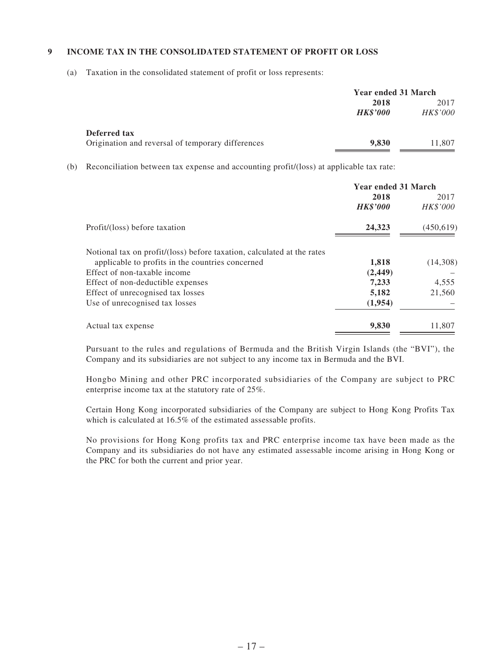#### **9 INCOME TAX IN THE CONSOLIDATED STATEMENT OF PROFIT OR LOSS**

(a) Taxation in the consolidated statement of profit or loss represents:

|                                                   | Year ended 31 March |                 |  |
|---------------------------------------------------|---------------------|-----------------|--|
|                                                   | 2018                | 2017            |  |
|                                                   | <b>HK\$'000</b>     | <b>HK\$'000</b> |  |
| Deferred tax                                      |                     |                 |  |
| Origination and reversal of temporary differences | 9,830               | 11,807          |  |

(b) Reconciliation between tax expense and accounting profit/(loss) at applicable tax rate:

|                                                                        | <b>Year ended 31 March</b> |                 |
|------------------------------------------------------------------------|----------------------------|-----------------|
|                                                                        | 2018                       | 2017            |
|                                                                        | <b>HK\$'000</b>            | <b>HK\$'000</b> |
| Profit/(loss) before taxation                                          | 24,323                     | (450,619)       |
| Notional tax on profit/(loss) before taxation, calculated at the rates |                            |                 |
| applicable to profits in the countries concerned                       | 1,818                      | (14,308)        |
| Effect of non-taxable income                                           | (2, 449)                   |                 |
| Effect of non-deductible expenses                                      | 7,233                      | 4,555           |
| Effect of unrecognised tax losses                                      | 5,182                      | 21,560          |
| Use of unrecognised tax losses                                         | (1,954)                    |                 |
| Actual tax expense                                                     | 9,830                      | 11,807          |

Pursuant to the rules and regulations of Bermuda and the British Virgin Islands (the "BVI"), the Company and its subsidiaries are not subject to any income tax in Bermuda and the BVI.

Hongbo Mining and other PRC incorporated subsidiaries of the Company are subject to PRC enterprise income tax at the statutory rate of 25%.

Certain Hong Kong incorporated subsidiaries of the Company are subject to Hong Kong Profits Tax which is calculated at 16.5% of the estimated assessable profits.

No provisions for Hong Kong profits tax and PRC enterprise income tax have been made as the Company and its subsidiaries do not have any estimated assessable income arising in Hong Kong or the PRC for both the current and prior year.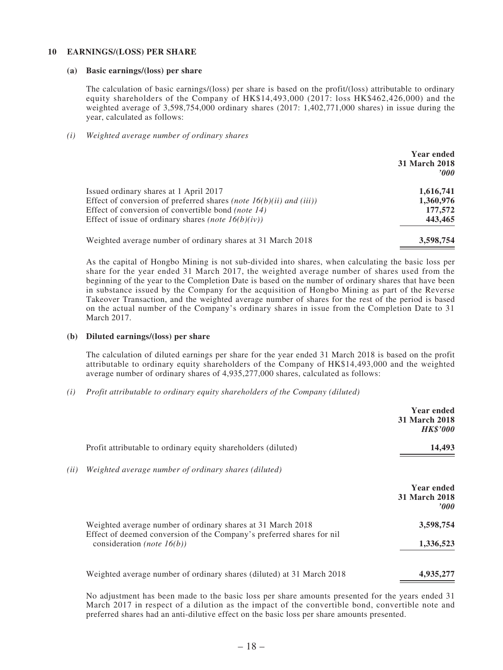#### **10 EARNINGS/(LOSS) PER SHARE**

#### **(a) Basic earnings/(loss) per share**

The calculation of basic earnings/(loss) per share is based on the profit/(loss) attributable to ordinary equity shareholders of the Company of HK\$14,493,000 (2017: loss HK\$462,426,000) and the weighted average of 3,598,754,000 ordinary shares (2017: 1,402,771,000 shares) in issue during the year, calculated as follows:

#### *(i) Weighted average number of ordinary shares*

|                                                                       | <b>Year ended</b><br><b>31 March 2018</b><br>2000 |
|-----------------------------------------------------------------------|---------------------------------------------------|
| Issued ordinary shares at 1 April 2017                                | 1,616,741                                         |
| Effect of conversion of preferred shares (note $16(b)(ii)$ and (iii)) | 1,360,976                                         |
| Effect of conversion of convertible bond (note 14)                    | 177,572                                           |
| Effect of issue of ordinary shares <i>(note 16(b)(iv))</i>            | 443,465                                           |
| Weighted average number of ordinary shares at 31 March 2018           | 3,598,754                                         |

As the capital of Hongbo Mining is not sub-divided into shares, when calculating the basic loss per share for the year ended 31 March 2017, the weighted average number of shares used from the beginning of the year to the Completion Date is based on the number of ordinary shares that have been in substance issued by the Company for the acquisition of Hongbo Mining as part of the Reverse Takeover Transaction, and the weighted average number of shares for the rest of the period is based on the actual number of the Company's ordinary shares in issue from the Completion Date to 31 March 2017.

#### **(b) Diluted earnings/(loss) per share**

The calculation of diluted earnings per share for the year ended 31 March 2018 is based on the profit attributable to ordinary equity shareholders of the Company of HK\$14,493,000 and the weighted average number of ordinary shares of 4,935,277,000 shares, calculated as follows:

*(i) Profit attributable to ordinary equity shareholders of the Company (diluted)*

|                                                                                                                                      | <b>Year ended</b><br><b>31 March 2018</b><br><b>HK\$'000</b> |
|--------------------------------------------------------------------------------------------------------------------------------------|--------------------------------------------------------------|
| Profit attributable to ordinary equity shareholders (diluted)                                                                        | 14,493                                                       |
| Weighted average number of ordinary shares (diluted)                                                                                 |                                                              |
|                                                                                                                                      | <b>Year ended</b><br>31 March 2018<br>'000                   |
| Weighted average number of ordinary shares at 31 March 2018<br>Effect of deemed conversion of the Company's preferred shares for nil | 3,598,754                                                    |
| consideration ( <i>note</i> $16(b)$ )                                                                                                | 1,336,523                                                    |
| Weighted average number of ordinary shares (diluted) at 31 March 2018                                                                | 4,935,277                                                    |

No adjustment has been made to the basic loss per share amounts presented for the years ended 31 March 2017 in respect of a dilution as the impact of the convertible bond, convertible note and preferred shares had an anti-dilutive effect on the basic loss per share amounts presented.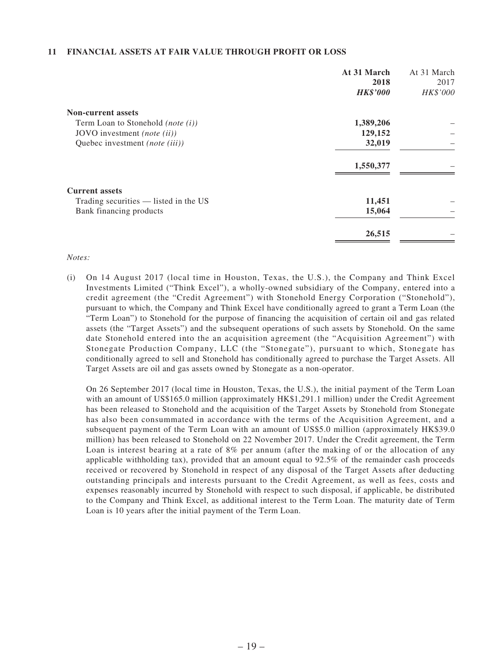#### **11 FINANCIAL ASSETS AT FAIR VALUE THROUGH PROFIT OR LOSS**

|                                       | At 31 March     | At 31 March |
|---------------------------------------|-----------------|-------------|
|                                       | 2018            | 2017        |
|                                       | <b>HK\$'000</b> | HK\$'000    |
| <b>Non-current assets</b>             |                 |             |
| Term Loan to Stonehold (note $(i)$ )  | 1,389,206       |             |
| JOVO investment (note (ii))           | 129,152         |             |
| Quebec investment (note (iii))        | 32,019          |             |
|                                       | 1,550,377       |             |
| <b>Current assets</b>                 |                 |             |
| Trading securities — listed in the US | 11,451          |             |
| Bank financing products               | 15,064          |             |
|                                       | 26,515          |             |

#### *Notes:*

(i) On 14 August 2017 (local time in Houston, Texas, the U.S.), the Company and Think Excel Investments Limited ("Think Excel"), a wholly-owned subsidiary of the Company, entered into a credit agreement (the "Credit Agreement") with Stonehold Energy Corporation ("Stonehold"), pursuant to which, the Company and Think Excel have conditionally agreed to grant a Term Loan (the "Term Loan") to Stonehold for the purpose of financing the acquisition of certain oil and gas related assets (the "Target Assets") and the subsequent operations of such assets by Stonehold. On the same date Stonehold entered into the an acquisition agreement (the "Acquisition Agreement") with Stonegate Production Company, LLC (the "Stonegate"), pursuant to which, Stonegate has conditionally agreed to sell and Stonehold has conditionally agreed to purchase the Target Assets. All Target Assets are oil and gas assets owned by Stonegate as a non-operator.

On 26 September 2017 (local time in Houston, Texas, the U.S.), the initial payment of the Term Loan with an amount of US\$165.0 million (approximately HK\$1,291.1 million) under the Credit Agreement has been released to Stonehold and the acquisition of the Target Assets by Stonehold from Stonegate has also been consummated in accordance with the terms of the Acquisition Agreement, and a subsequent payment of the Term Loan with an amount of US\$5.0 million (approximately HK\$39.0 million) has been released to Stonehold on 22 November 2017. Under the Credit agreement, the Term Loan is interest bearing at a rate of 8% per annum (after the making of or the allocation of any applicable withholding tax), provided that an amount equal to 92.5% of the remainder cash proceeds received or recovered by Stonehold in respect of any disposal of the Target Assets after deducting outstanding principals and interests pursuant to the Credit Agreement, as well as fees, costs and expenses reasonably incurred by Stonehold with respect to such disposal, if applicable, be distributed to the Company and Think Excel, as additional interest to the Term Loan. The maturity date of Term Loan is 10 years after the initial payment of the Term Loan.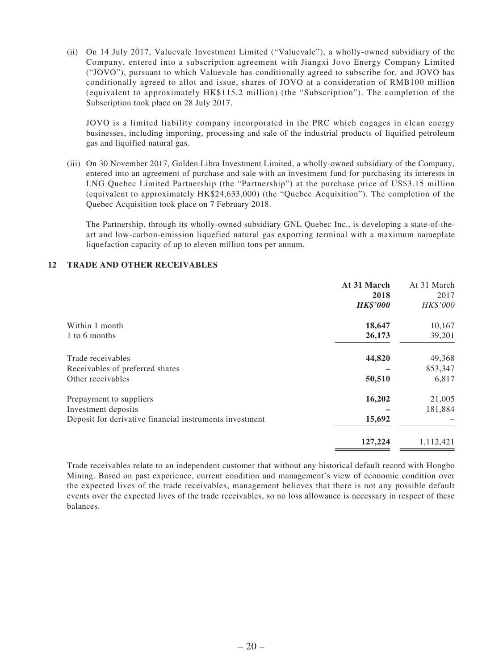(ii) On 14 July 2017, Valuevale Investment Limited ("Valuevale"), a wholly-owned subsidiary of the Company, entered into a subscription agreement with Jiangxi Jovo Energy Company Limited ("JOVO"), pursuant to which Valuevale has conditionally agreed to subscribe for, and JOVO has conditionally agreed to allot and issue, shares of JOVO at a consideration of RMB100 million (equivalent to approximately HK\$115.2 million) (the "Subscription"). The completion of the Subscription took place on 28 July 2017.

JOVO is a limited liability company incorporated in the PRC which engages in clean energy businesses, including importing, processing and sale of the industrial products of liquified petroleum gas and liquified natural gas.

(iii) On 30 November 2017, Golden Libra Investment Limited, a wholly-owned subsidiary of the Company, entered into an agreement of purchase and sale with an investment fund for purchasing its interests in LNG Quebec Limited Partnership (the "Partnership") at the purchase price of US\$3.15 million (equivalent to approximately HK\$24,633,000) (the "Quebec Acquisition"). The completion of the Quebec Acquisition took place on 7 February 2018.

The Partnership, through its wholly-owned subsidiary GNL Quebec Inc., is developing a state-of-theart and low-carbon-emission liquefied natural gas exporting terminal with a maximum nameplate liquefaction capacity of up to eleven million tons per annum.

#### **12 TRADE AND OTHER RECEIVABLES**

|                                                         | At 31 March<br>2018<br><b>HK\$'000</b> | At 31 March<br>2017<br>HK\$'000 |
|---------------------------------------------------------|----------------------------------------|---------------------------------|
| Within 1 month                                          | 18,647                                 | 10,167                          |
| 1 to 6 months                                           | 26,173                                 | 39,201                          |
| Trade receivables                                       | 44,820                                 | 49,368                          |
| Receivables of preferred shares                         |                                        | 853,347                         |
| Other receivables                                       | 50,510                                 | 6,817                           |
| Prepayment to suppliers                                 | 16,202                                 | 21,005                          |
| Investment deposits                                     |                                        | 181,884                         |
| Deposit for derivative financial instruments investment | 15,692                                 |                                 |
|                                                         | 127,224                                | 1,112,421                       |

Trade receivables relate to an independent customer that without any historical default record with Hongbo Mining. Based on past experience, current condition and management's view of economic condition over the expected lives of the trade receivables, management believes that there is not any possible default events over the expected lives of the trade receivables, so no loss allowance is necessary in respect of these balances.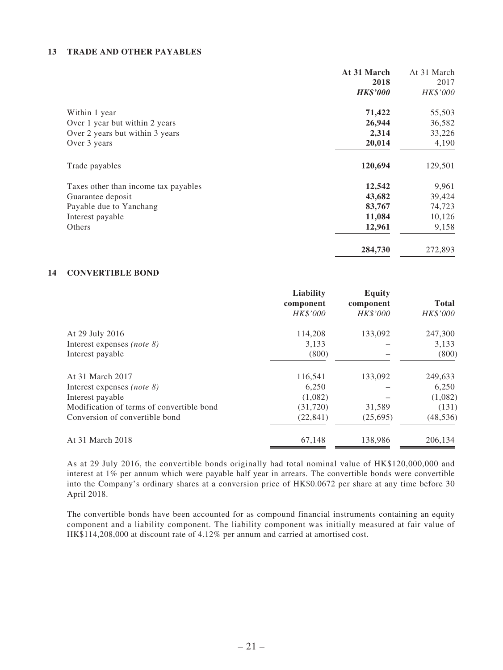#### **13 TRADE AND OTHER PAYABLES**

|                                      | At 31 March     | At 31 March |
|--------------------------------------|-----------------|-------------|
|                                      | 2018            | 2017        |
|                                      | <b>HK\$'000</b> | HK\$'000    |
| Within 1 year                        | 71,422          | 55,503      |
| Over 1 year but within 2 years       | 26,944          | 36,582      |
| Over 2 years but within 3 years      | 2,314           | 33,226      |
| Over 3 years                         | 20,014          | 4,190       |
| Trade payables                       | 120,694         | 129,501     |
| Taxes other than income tax payables | 12,542          | 9,961       |
| Guarantee deposit                    | 43,682          | 39,424      |
| Payable due to Yanchang              | 83,767          | 74,723      |
| Interest payable                     | 11,084          | 10,126      |
| Others                               | 12,961          | 9,158       |
|                                      | 284,730         | 272,893     |

#### **14 CONVERTIBLE BOND**

|                                           | Liability | <b>Equity</b> |              |
|-------------------------------------------|-----------|---------------|--------------|
|                                           | component | component     | <b>Total</b> |
|                                           | HK\$'000  | HK\$'000      | HK\$'000     |
| At 29 July 2016                           | 114,208   | 133,092       | 247,300      |
| Interest expenses (note $\delta$ )        | 3,133     |               | 3,133        |
| Interest payable                          | (800)     |               | (800)        |
| At 31 March 2017                          | 116,541   | 133,092       | 249,633      |
| Interest expenses (note $\delta$ )        | 6,250     |               | 6,250        |
| Interest payable                          | (1,082)   |               | (1,082)      |
| Modification of terms of convertible bond | (31,720)  | 31,589        | (131)        |
| Conversion of convertible bond            | (22, 841) | (25,695)      | (48, 536)    |
| At 31 March 2018                          | 67,148    | 138,986       | 206,134      |
|                                           |           |               |              |

As at 29 July 2016, the convertible bonds originally had total nominal value of HK\$120,000,000 and interest at 1% per annum which were payable half year in arrears. The convertible bonds were convertible into the Company's ordinary shares at a conversion price of HK\$0.0672 per share at any time before 30 April 2018.

The convertible bonds have been accounted for as compound financial instruments containing an equity component and a liability component. The liability component was initially measured at fair value of HK\$114,208,000 at discount rate of 4.12% per annum and carried at amortised cost.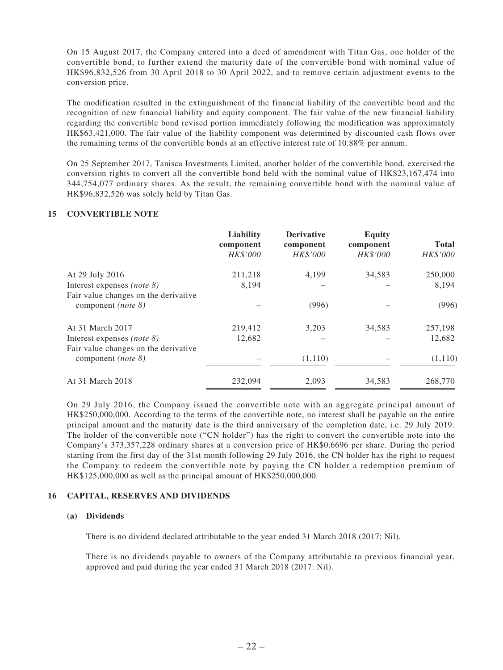On 15 August 2017, the Company entered into a deed of amendment with Titan Gas, one holder of the convertible bond, to further extend the maturity date of the convertible bond with nominal value of HK\$96,832,526 from 30 April 2018 to 30 April 2022, and to remove certain adjustment events to the conversion price.

The modification resulted in the extinguishment of the financial liability of the convertible bond and the recognition of new financial liability and equity component. The fair value of the new financial liability regarding the convertible bond revised portion immediately following the modification was approximately HK\$63,421,000. The fair value of the liability component was determined by discounted cash flows over the remaining terms of the convertible bonds at an effective interest rate of 10.88% per annum.

On 25 September 2017, Tanisca Investments Limited, another holder of the convertible bond, exercised the conversion rights to convert all the convertible bond held with the nominal value of HK\$23,167,474 into 344,754,077 ordinary shares. As the result, the remaining convertible bond with the nominal value of HK\$96,832,526 was solely held by Titan Gas.

#### **15 CONVERTIBLE NOTE**

| Liability<br>component<br>HK\$'000 | <b>Derivative</b><br>component<br>HK\$'000 | <b>Equity</b><br>component<br><b>HK\$'000</b> | <b>Total</b><br>HK\$'000 |
|------------------------------------|--------------------------------------------|-----------------------------------------------|--------------------------|
| 211,218                            | 4,199                                      | 34,583                                        | 250,000                  |
| 8,194                              |                                            |                                               | 8,194                    |
|                                    |                                            |                                               |                          |
|                                    | (996)                                      |                                               | (996)                    |
| 219,412                            | 3,203                                      | 34,583                                        | 257,198                  |
| 12,682                             |                                            |                                               | 12,682                   |
|                                    |                                            |                                               |                          |
|                                    | (1,110)                                    |                                               | (1,110)                  |
| 232,094                            | 2,093                                      | 34,583                                        | 268,770                  |
|                                    |                                            |                                               |                          |

On 29 July 2016, the Company issued the convertible note with an aggregate principal amount of HK\$250,000,000. According to the terms of the convertible note, no interest shall be payable on the entire principal amount and the maturity date is the third anniversary of the completion date, i.e. 29 July 2019. The holder of the convertible note ("CN holder") has the right to convert the convertible note into the Company's 373,357,228 ordinary shares at a conversion price of HK\$0.6696 per share. During the period starting from the first day of the 31st month following 29 July 2016, the CN holder has the right to request the Company to redeem the convertible note by paying the CN holder a redemption premium of HK\$125,000,000 as well as the principal amount of HK\$250,000,000.

#### **16 CAPITAL, RESERVES AND DIVIDENDS**

#### **(a) Dividends**

There is no dividend declared attributable to the year ended 31 March 2018 (2017: Nil).

There is no dividends payable to owners of the Company attributable to previous financial year, approved and paid during the year ended 31 March 2018 (2017: Nil).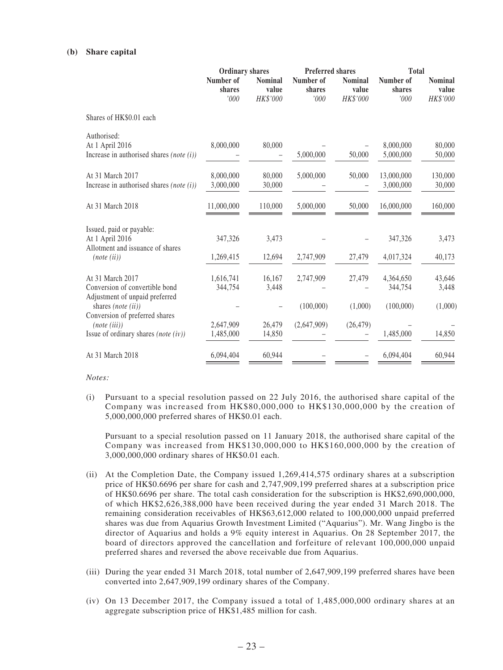#### **(b) Share capital**

|                                                                                                            | <b>Ordinary shares</b>      |                                     | <b>Preferred shares</b>     |                                     | <b>Total</b>                      |                                     |  |
|------------------------------------------------------------------------------------------------------------|-----------------------------|-------------------------------------|-----------------------------|-------------------------------------|-----------------------------------|-------------------------------------|--|
|                                                                                                            | Number of<br>shares<br>'000 | <b>Nominal</b><br>value<br>HK\$'000 | Number of<br>shares<br>'000 | <b>Nominal</b><br>value<br>HK\$'000 | Number of<br>shares<br>'000       | <b>Nominal</b><br>value<br>HK\$'000 |  |
| Shares of HK\$0.01 each                                                                                    |                             |                                     |                             |                                     |                                   |                                     |  |
| Authorised:<br>At 1 April 2016<br>Increase in authorised shares (note $(i)$ )                              | 8,000,000                   | 80,000                              | 5,000,000                   | 50,000                              | 8,000,000<br>5,000,000            | 80,000<br>50,000                    |  |
| At 31 March 2017<br>Increase in authorised shares (note $(i)$ )                                            | 8,000,000<br>3,000,000      | 80,000<br>30,000                    | 5,000,000                   | 50,000                              | 13,000,000<br>3,000,000           | 130,000<br>30,000                   |  |
| At 31 March 2018                                                                                           | 11,000,000                  | 110,000                             | 5,000,000                   | 50,000                              | 16,000,000                        | 160,000                             |  |
| Issued, paid or payable:<br>At 1 April 2016<br>Allotment and issuance of shares<br>(note (ii))             | 347,326<br>1,269,415        | 3,473<br>12,694                     | 2,747,909                   | 27,479                              | 347,326<br>4,017,324              | 3,473<br>40,173                     |  |
| At 31 March 2017<br>Conversion of convertible bond<br>Adjustment of unpaid preferred<br>shares (note (ii)) | 1,616,741<br>344,754        | 16,167<br>3,448                     | 2,747,909<br>(100,000)      | 27,479<br>(1,000)                   | 4,364,650<br>344,754<br>(100,000) | 43,646<br>3,448<br>(1,000)          |  |
| Conversion of preferred shares<br>(note (iii))<br>Issue of ordinary shares (note $(iv)$ )                  | 2,647,909<br>1,485,000      | 26,479<br>14,850                    | (2,647,909)                 | (26, 479)                           | 1,485,000                         | 14,850                              |  |
| At 31 March 2018                                                                                           | 6,094,404                   | 60,944                              |                             |                                     | 6,094,404                         | 60,944                              |  |

*Notes:*

(i) Pursuant to a special resolution passed on 22 July 2016, the authorised share capital of the Company was increased from HK\$80,000,000 to HK\$130,000,000 by the creation of 5,000,000,000 preferred shares of HK\$0.01 each.

Pursuant to a special resolution passed on 11 January 2018, the authorised share capital of the Company was increased from HK\$130,000,000 to HK\$160,000,000 by the creation of 3,000,000,000 ordinary shares of HK\$0.01 each.

- (ii) At the Completion Date, the Company issued 1,269,414,575 ordinary shares at a subscription price of HK\$0.6696 per share for cash and 2,747,909,199 preferred shares at a subscription price of HK\$0.6696 per share. The total cash consideration for the subscription is HK\$2,690,000,000, of which HK\$2,626,388,000 have been received during the year ended 31 March 2018. The remaining consideration receivables of HK\$63,612,000 related to 100,000,000 unpaid preferred shares was due from Aquarius Growth Investment Limited ("Aquarius"). Mr. Wang Jingbo is the director of Aquarius and holds a 9% equity interest in Aquarius. On 28 September 2017, the board of directors approved the cancellation and forfeiture of relevant 100,000,000 unpaid preferred shares and reversed the above receivable due from Aquarius.
- (iii) During the year ended 31 March 2018, total number of 2,647,909,199 preferred shares have been converted into 2,647,909,199 ordinary shares of the Company.
- (iv) On 13 December 2017, the Company issued a total of 1,485,000,000 ordinary shares at an aggregate subscription price of HK\$1,485 million for cash.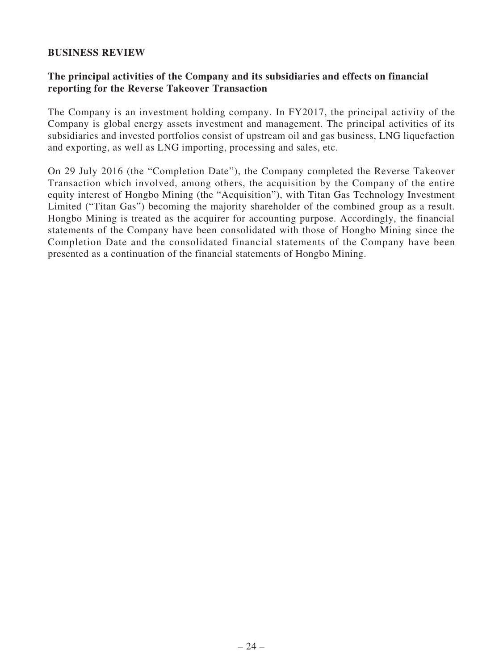#### **BUSINESS REVIEW**

## **The principal activities of the Company and its subsidiaries and effects on financial reporting for the Reverse Takeover Transaction**

The Company is an investment holding company. In FY2017, the principal activity of the Company is global energy assets investment and management. The principal activities of its subsidiaries and invested portfolios consist of upstream oil and gas business, LNG liquefaction and exporting, as well as LNG importing, processing and sales, etc.

On 29 July 2016 (the "Completion Date"), the Company completed the Reverse Takeover Transaction which involved, among others, the acquisition by the Company of the entire equity interest of Hongbo Mining (the "Acquisition"), with Titan Gas Technology Investment Limited ("Titan Gas") becoming the majority shareholder of the combined group as a result. Hongbo Mining is treated as the acquirer for accounting purpose. Accordingly, the financial statements of the Company have been consolidated with those of Hongbo Mining since the Completion Date and the consolidated financial statements of the Company have been presented as a continuation of the financial statements of Hongbo Mining.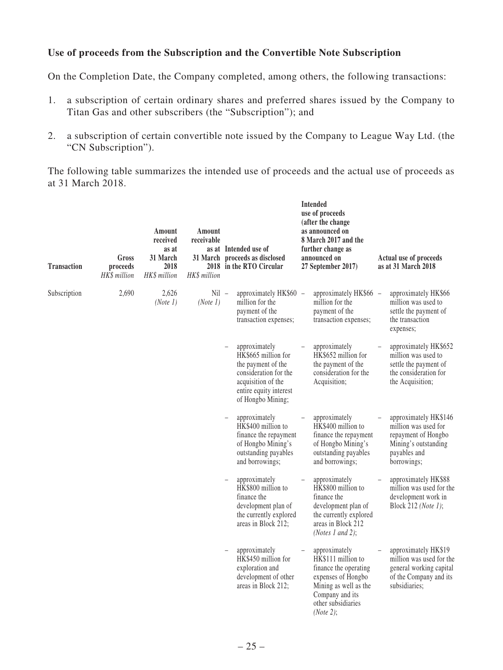## **Use of proceeds from the Subscription and the Convertible Note Subscription**

On the Completion Date, the Company completed, among others, the following transactions:

- 1. a subscription of certain ordinary shares and preferred shares issued by the Company to Titan Gas and other subscribers (the "Subscription"); and
- 2. a subscription of certain convertible note issued by the Company to League Way Ltd. (the "CN Subscription").

The following table summarizes the intended use of proceeds and the actual use of proceeds as at 31 March 2018.

| <b>Transaction</b> | Gross<br>proceeds<br>HK\$ million | Amount<br>received<br>as at<br>31 March<br>2018<br>HK\$ million | Amount<br>receivable<br>HK\$ million | as at Intended use of<br>31 March proceeds as disclosed<br>2018 in the RTO Circular                                                                      | Intended<br>use of proceeds<br>(after the change<br>as announced on<br>8 March 2017 and the<br>further change as<br>announced on<br>27 September 2017)            | Actual use of proceeds<br>as at 31 March 2018                                                                               |
|--------------------|-----------------------------------|-----------------------------------------------------------------|--------------------------------------|----------------------------------------------------------------------------------------------------------------------------------------------------------|-------------------------------------------------------------------------------------------------------------------------------------------------------------------|-----------------------------------------------------------------------------------------------------------------------------|
| Subscription       | 2,690                             | 2,626<br>(Note 1)                                               | $Nil -$<br>(Note 1)                  | approximately HK\$60 -<br>million for the<br>payment of the<br>transaction expenses;                                                                     | approximately HK\$66 -<br>million for the<br>payment of the<br>transaction expenses;                                                                              | approximately HK\$66<br>million was used to<br>settle the payment of<br>the transaction<br>expenses;                        |
|                    |                                   |                                                                 |                                      | approximately<br>HK\$665 million for<br>the payment of the<br>consideration for the<br>acquisition of the<br>entire equity interest<br>of Hongbo Mining; | approximately<br>HK\$652 million for<br>the payment of the<br>consideration for the<br>Acquisition;                                                               | approximately HK\$652<br>million was used to<br>settle the payment of<br>the consideration for<br>the Acquisition;          |
|                    |                                   |                                                                 |                                      | approximately<br>HK\$400 million to<br>finance the repayment<br>of Hongbo Mining's<br>outstanding payables<br>and borrowings;                            | approximately<br>HK\$400 million to<br>finance the repayment<br>of Hongbo Mining's<br>outstanding payables<br>and borrowings;                                     | approximately HK\$146<br>million was used for<br>repayment of Hongbo<br>Mining's outstanding<br>payables and<br>borrowings; |
|                    |                                   |                                                                 |                                      | approximately<br>HK\$800 million to<br>finance the<br>development plan of<br>the currently explored<br>areas in Block 212;                               | approximately<br>HK\$800 million to<br>finance the<br>development plan of<br>the currently explored<br>areas in Block 212<br>(Notes 1 and 2);                     | approximately HK\$88<br>million was used for the<br>development work in<br>Block 212 (Note 1);                              |
|                    |                                   |                                                                 |                                      | approximately<br>HK\$450 million for<br>exploration and<br>development of other<br>areas in Block 212;                                                   | approximately<br>HK\$111 million to<br>finance the operating<br>expenses of Hongbo<br>Mining as well as the<br>Company and its<br>other subsidiaries<br>(Note 2); | approximately HK\$19<br>million was used for the<br>general working capital<br>of the Company and its<br>subsidiaries;      |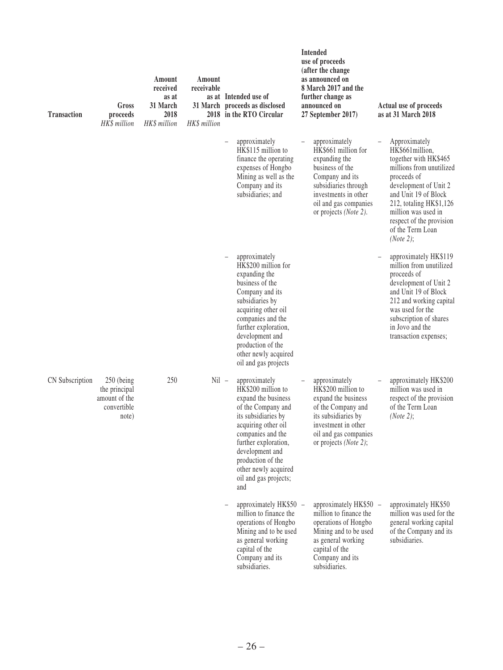| <b>Transaction</b> | Gross<br>proceeds<br>HK\$ million                                      | Amount<br>received<br>as at<br>31 March<br>2018<br>HK\$ million | Amount<br>receivable<br>HK\$ million | as at Intended use of<br>31 March proceeds as disclosed<br>2018 in the RTO Circular                                                                                                                                                                                         | <b>Intended</b><br>use of proceeds<br>(after the change<br>as announced on<br>8 March 2017 and the<br>further change as<br>announced on<br>27 September 2017)                                          | Actual use of proceeds<br>as at 31 March 2018                                                                                                                                                                                                                        |
|--------------------|------------------------------------------------------------------------|-----------------------------------------------------------------|--------------------------------------|-----------------------------------------------------------------------------------------------------------------------------------------------------------------------------------------------------------------------------------------------------------------------------|--------------------------------------------------------------------------------------------------------------------------------------------------------------------------------------------------------|----------------------------------------------------------------------------------------------------------------------------------------------------------------------------------------------------------------------------------------------------------------------|
|                    |                                                                        |                                                                 |                                      | approximately<br>HK\$115 million to<br>finance the operating<br>expenses of Hongbo<br>Mining as well as the<br>Company and its<br>subsidiaries; and                                                                                                                         | approximately<br>HK\$661 million for<br>expanding the<br>business of the<br>Company and its<br>subsidiaries through<br>investments in other<br>oil and gas companies<br>or projects ( <i>Note 2</i> ). | Approximately<br>HK\$661million,<br>together with HK\$465<br>millions from unutilized<br>proceeds of<br>development of Unit 2<br>and Unit 19 of Block<br>212, totaling HK\$1,126<br>million was used in<br>respect of the provision<br>of the Term Loan<br>(Note 2): |
|                    |                                                                        |                                                                 |                                      | approximately<br>HK\$200 million for<br>expanding the<br>business of the<br>Company and its<br>subsidiaries by<br>acquiring other oil<br>companies and the<br>further exploration,<br>development and<br>production of the<br>other newly acquired<br>oil and gas projects  |                                                                                                                                                                                                        | approximately HK\$119<br>million from unutilized<br>proceeds of<br>development of Unit 2<br>and Unit 19 of Block<br>212 and working capital<br>was used for the<br>subscription of shares<br>in Jovo and the<br>transaction expenses;                                |
| CN Subscription    | $250$ (being<br>the principal<br>amount of the<br>convertible<br>note) | 250                                                             | $Nil -$                              | approximately<br>HK\$200 million to<br>expand the business<br>of the Company and<br>its subsidiaries by<br>acquiring other oil<br>companies and the<br>further exploration,<br>development and<br>production of the<br>other newly acquired<br>oil and gas projects;<br>and | approximately<br>HK\$200 million to<br>expand the business<br>of the Company and<br>its subsidiaries by<br>investment in other<br>oil and gas companies<br>or projects (Note 2);                       | approximately HK\$200<br>million was used in<br>respect of the provision<br>of the Term Loan<br>(Note 2);                                                                                                                                                            |
|                    |                                                                        |                                                                 |                                      | approximately HK\$50 -<br>million to finance the<br>operations of Hongbo<br>Mining and to be used<br>as general working<br>capital of the<br>Company and its<br>subsidiaries.                                                                                               | approximately HK\$50 -<br>million to finance the<br>operations of Hongbo<br>Mining and to be used<br>as general working<br>capital of the<br>Company and its<br>subsidiaries.                          | approximately HK\$50<br>million was used for the<br>general working capital<br>of the Company and its<br>subsidiaries.                                                                                                                                               |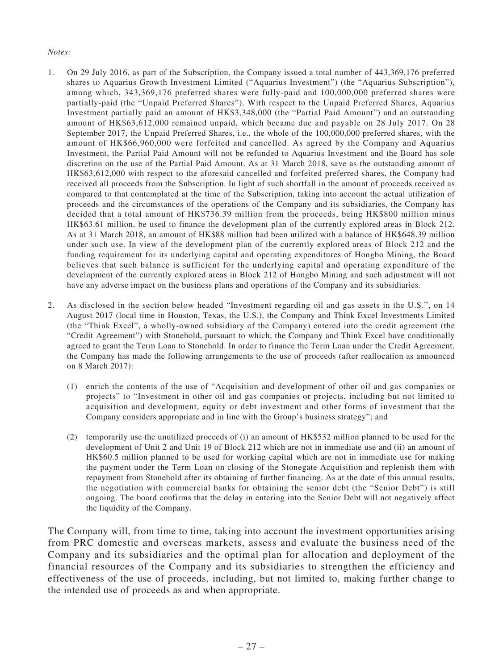#### *Notes:*

- 1. On 29 July 2016, as part of the Subscription, the Company issued a total number of 443,369,176 preferred shares to Aquarius Growth Investment Limited ("Aquarius Investment") (the "Aquarius Subscription"), among which, 343,369,176 preferred shares were fully-paid and 100,000,000 preferred shares were partially-paid (the "Unpaid Preferred Shares"). With respect to the Unpaid Preferred Shares, Aquarius Investment partially paid an amount of HK\$3,348,000 (the "Partial Paid Amount") and an outstanding amount of HK\$63,612,000 remained unpaid, which became due and payable on 28 July 2017. On 28 September 2017, the Unpaid Preferred Shares, i.e., the whole of the 100,000,000 preferred shares, with the amount of HK\$66,960,000 were forfeited and cancelled. As agreed by the Company and Aquarius Investment, the Partial Paid Amount will not be refunded to Aquarius Investment and the Board has sole discretion on the use of the Partial Paid Amount. As at 31 March 2018, save as the outstanding amount of HK\$63,612,000 with respect to the aforesaid cancelled and forfeited preferred shares, the Company had received all proceeds from the Subscription. In light of such shortfall in the amount of proceeds received as compared to that contemplated at the time of the Subscription, taking into account the actual utilization of proceeds and the circumstances of the operations of the Company and its subsidiaries, the Company has decided that a total amount of HK\$736.39 million from the proceeds, being HK\$800 million minus HK\$63.61 million, be used to finance the development plan of the currently explored areas in Block 212. As at 31 March 2018, an amount of HK\$88 million had been utilized with a balance of HK\$648.39 million under such use. In view of the development plan of the currently explored areas of Block 212 and the funding requirement for its underlying capital and operating expenditures of Hongbo Mining, the Board believes that such balance is sufficient for the underlying capital and operating expenditure of the development of the currently explored areas in Block 212 of Hongbo Mining and such adjustment will not have any adverse impact on the business plans and operations of the Company and its subsidiaries.
- 2. As disclosed in the section below headed "Investment regarding oil and gas assets in the U.S.", on 14 August 2017 (local time in Houston, Texas, the U.S.), the Company and Think Excel Investments Limited (the "Think Excel", a wholly-owned subsidiary of the Company) entered into the credit agreement (the "Credit Agreement") with Stonehold, pursuant to which, the Company and Think Excel have conditionally agreed to grant the Term Loan to Stonehold. In order to finance the Term Loan under the Credit Agreement, the Company has made the following arrangements to the use of proceeds (after reallocation as announced on 8 March 2017):
	- (1) enrich the contents of the use of "Acquisition and development of other oil and gas companies or projects" to "Investment in other oil and gas companies or projects, including but not limited to acquisition and development, equity or debt investment and other forms of investment that the Company considers appropriate and in line with the Group's business strategy"; and
	- (2) temporarily use the unutilized proceeds of (i) an amount of HK\$532 million planned to be used for the development of Unit 2 and Unit 19 of Block 212 which are not in immediate use and (ii) an amount of HK\$60.5 million planned to be used for working capital which are not in immediate use for making the payment under the Term Loan on closing of the Stonegate Acquisition and replenish them with repayment from Stonehold after its obtaining of further financing. As at the date of this annual results, the negotiation with commercial banks for obtaining the senior debt (the "Senior Debt") is still ongoing. The board confirms that the delay in entering into the Senior Debt will not negatively affect the liquidity of the Company.

The Company will, from time to time, taking into account the investment opportunities arising from PRC domestic and overseas markets, assess and evaluate the business need of the Company and its subsidiaries and the optimal plan for allocation and deployment of the financial resources of the Company and its subsidiaries to strengthen the efficiency and effectiveness of the use of proceeds, including, but not limited to, making further change to the intended use of proceeds as and when appropriate.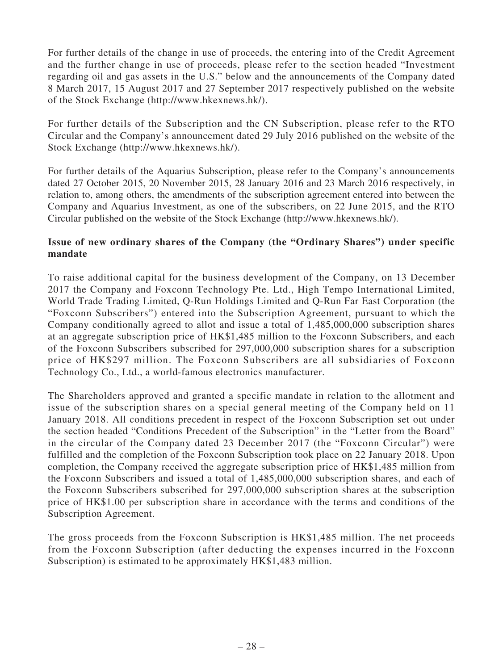For further details of the change in use of proceeds, the entering into of the Credit Agreement and the further change in use of proceeds, please refer to the section headed "Investment regarding oil and gas assets in the U.S." below and the announcements of the Company dated 8 March 2017, 15 August 2017 and 27 September 2017 respectively published on the website of the Stock Exchange (http://www.hkexnews.hk/).

For further details of the Subscription and the CN Subscription, please refer to the RTO Circular and the Company's announcement dated 29 July 2016 published on the website of the Stock Exchange (http://www.hkexnews.hk/).

For further details of the Aquarius Subscription, please refer to the Company's announcements dated 27 October 2015, 20 November 2015, 28 January 2016 and 23 March 2016 respectively, in relation to, among others, the amendments of the subscription agreement entered into between the Company and Aquarius Investment, as one of the subscribers, on 22 June 2015, and the RTO Circular published on the website of the Stock Exchange (http://www.hkexnews.hk/).

## **Issue of new ordinary shares of the Company (the "Ordinary Shares") under specific mandate**

To raise additional capital for the business development of the Company, on 13 December 2017 the Company and Foxconn Technology Pte. Ltd., High Tempo International Limited, World Trade Trading Limited, Q-Run Holdings Limited and Q-Run Far East Corporation (the "Foxconn Subscribers") entered into the Subscription Agreement, pursuant to which the Company conditionally agreed to allot and issue a total of 1,485,000,000 subscription shares at an aggregate subscription price of HK\$1,485 million to the Foxconn Subscribers, and each of the Foxconn Subscribers subscribed for 297,000,000 subscription shares for a subscription price of HK\$297 million. The Foxconn Subscribers are all subsidiaries of Foxconn Technology Co., Ltd., a world-famous electronics manufacturer.

The Shareholders approved and granted a specific mandate in relation to the allotment and issue of the subscription shares on a special general meeting of the Company held on 11 January 2018. All conditions precedent in respect of the Foxconn Subscription set out under the section headed "Conditions Precedent of the Subscription" in the "Letter from the Board" in the circular of the Company dated 23 December 2017 (the "Foxconn Circular") were fulfilled and the completion of the Foxconn Subscription took place on 22 January 2018. Upon completion, the Company received the aggregate subscription price of HK\$1,485 million from the Foxconn Subscribers and issued a total of 1,485,000,000 subscription shares, and each of the Foxconn Subscribers subscribed for 297,000,000 subscription shares at the subscription price of HK\$1.00 per subscription share in accordance with the terms and conditions of the Subscription Agreement.

The gross proceeds from the Foxconn Subscription is HK\$1,485 million. The net proceeds from the Foxconn Subscription (after deducting the expenses incurred in the Foxconn Subscription) is estimated to be approximately HK\$1,483 million.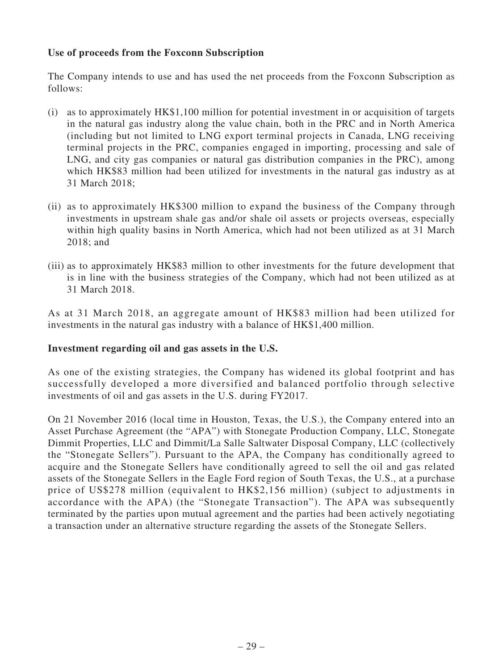## **Use of proceeds from the Foxconn Subscription**

The Company intends to use and has used the net proceeds from the Foxconn Subscription as follows:

- (i) as to approximately HK\$1,100 million for potential investment in or acquisition of targets in the natural gas industry along the value chain, both in the PRC and in North America (including but not limited to LNG export terminal projects in Canada, LNG receiving terminal projects in the PRC, companies engaged in importing, processing and sale of LNG, and city gas companies or natural gas distribution companies in the PRC), among which HK\$83 million had been utilized for investments in the natural gas industry as at 31 March 2018;
- (ii) as to approximately HK\$300 million to expand the business of the Company through investments in upstream shale gas and/or shale oil assets or projects overseas, especially within high quality basins in North America, which had not been utilized as at 31 March 2018; and
- (iii) as to approximately HK\$83 million to other investments for the future development that is in line with the business strategies of the Company, which had not been utilized as at 31 March 2018.

As at 31 March 2018, an aggregate amount of HK\$83 million had been utilized for investments in the natural gas industry with a balance of HK\$1,400 million.

## **Investment regarding oil and gas assets in the U.S.**

As one of the existing strategies, the Company has widened its global footprint and has successfully developed a more diversified and balanced portfolio through selective investments of oil and gas assets in the U.S. during FY2017.

On 21 November 2016 (local time in Houston, Texas, the U.S.), the Company entered into an Asset Purchase Agreement (the "APA") with Stonegate Production Company, LLC, Stonegate Dimmit Properties, LLC and Dimmit/La Salle Saltwater Disposal Company, LLC (collectively the "Stonegate Sellers"). Pursuant to the APA, the Company has conditionally agreed to acquire and the Stonegate Sellers have conditionally agreed to sell the oil and gas related assets of the Stonegate Sellers in the Eagle Ford region of South Texas, the U.S., at a purchase price of US\$278 million (equivalent to HK\$2,156 million) (subject to adjustments in accordance with the APA) (the "Stonegate Transaction"). The APA was subsequently terminated by the parties upon mutual agreement and the parties had been actively negotiating a transaction under an alternative structure regarding the assets of the Stonegate Sellers.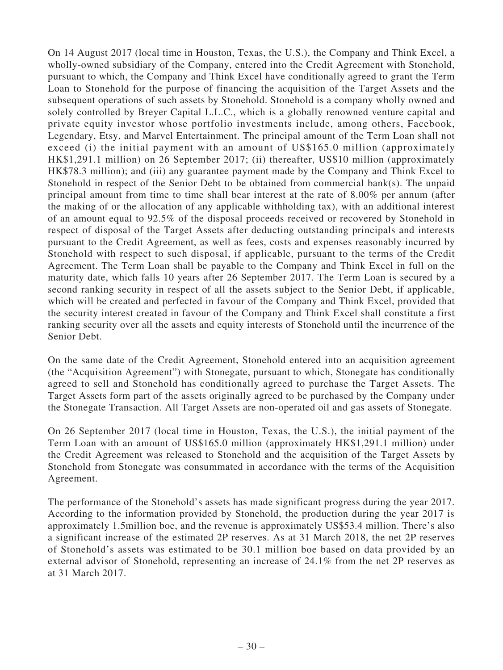On 14 August 2017 (local time in Houston, Texas, the U.S.), the Company and Think Excel, a wholly-owned subsidiary of the Company, entered into the Credit Agreement with Stonehold, pursuant to which, the Company and Think Excel have conditionally agreed to grant the Term Loan to Stonehold for the purpose of financing the acquisition of the Target Assets and the subsequent operations of such assets by Stonehold. Stonehold is a company wholly owned and solely controlled by Breyer Capital L.L.C., which is a globally renowned venture capital and private equity investor whose portfolio investments include, among others, Facebook, Legendary, Etsy, and Marvel Entertainment. The principal amount of the Term Loan shall not exceed (i) the initial payment with an amount of US\$165.0 million (approximately HK\$1,291.1 million) on 26 September 2017; (ii) thereafter, US\$10 million (approximately HK\$78.3 million); and (iii) any guarantee payment made by the Company and Think Excel to Stonehold in respect of the Senior Debt to be obtained from commercial bank(s). The unpaid principal amount from time to time shall bear interest at the rate of 8.00% per annum (after the making of or the allocation of any applicable withholding tax), with an additional interest of an amount equal to 92.5% of the disposal proceeds received or recovered by Stonehold in respect of disposal of the Target Assets after deducting outstanding principals and interests pursuant to the Credit Agreement, as well as fees, costs and expenses reasonably incurred by Stonehold with respect to such disposal, if applicable, pursuant to the terms of the Credit Agreement. The Term Loan shall be payable to the Company and Think Excel in full on the maturity date, which falls 10 years after 26 September 2017. The Term Loan is secured by a second ranking security in respect of all the assets subject to the Senior Debt, if applicable, which will be created and perfected in favour of the Company and Think Excel, provided that the security interest created in favour of the Company and Think Excel shall constitute a first ranking security over all the assets and equity interests of Stonehold until the incurrence of the Senior Debt.

On the same date of the Credit Agreement, Stonehold entered into an acquisition agreement (the "Acquisition Agreement") with Stonegate, pursuant to which, Stonegate has conditionally agreed to sell and Stonehold has conditionally agreed to purchase the Target Assets. The Target Assets form part of the assets originally agreed to be purchased by the Company under the Stonegate Transaction. All Target Assets are non-operated oil and gas assets of Stonegate.

On 26 September 2017 (local time in Houston, Texas, the U.S.), the initial payment of the Term Loan with an amount of US\$165.0 million (approximately HK\$1,291.1 million) under the Credit Agreement was released to Stonehold and the acquisition of the Target Assets by Stonehold from Stonegate was consummated in accordance with the terms of the Acquisition Agreement.

The performance of the Stonehold's assets has made significant progress during the year 2017. According to the information provided by Stonehold, the production during the year 2017 is approximately 1.5million boe, and the revenue is approximately US\$53.4 million. There's also a significant increase of the estimated 2P reserves. As at 31 March 2018, the net 2P reserves of Stonehold's assets was estimated to be 30.1 million boe based on data provided by an external advisor of Stonehold, representing an increase of 24.1% from the net 2P reserves as at 31 March 2017.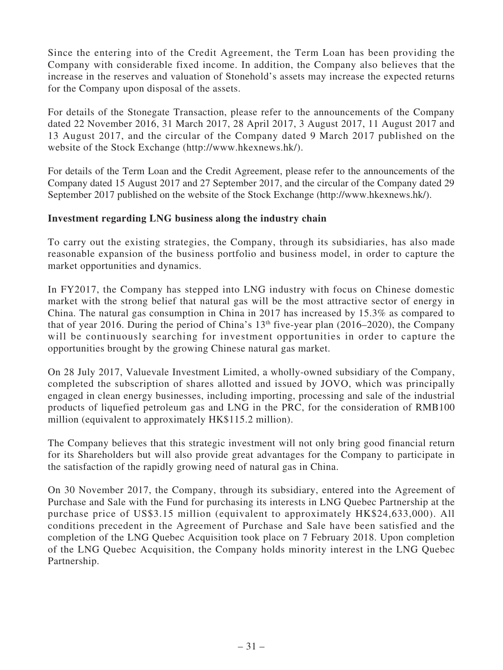Since the entering into of the Credit Agreement, the Term Loan has been providing the Company with considerable fixed income. In addition, the Company also believes that the increase in the reserves and valuation of Stonehold's assets may increase the expected returns for the Company upon disposal of the assets.

For details of the Stonegate Transaction, please refer to the announcements of the Company dated 22 November 2016, 31 March 2017, 28 April 2017, 3 August 2017, 11 August 2017 and 13 August 2017, and the circular of the Company dated 9 March 2017 published on the website of the Stock Exchange (http://www.hkexnews.hk/).

For details of the Term Loan and the Credit Agreement, please refer to the announcements of the Company dated 15 August 2017 and 27 September 2017, and the circular of the Company dated 29 September 2017 published on the website of the Stock Exchange (http://www.hkexnews.hk/).

## **Investment regarding LNG business along the industry chain**

To carry out the existing strategies, the Company, through its subsidiaries, has also made reasonable expansion of the business portfolio and business model, in order to capture the market opportunities and dynamics.

In FY2017, the Company has stepped into LNG industry with focus on Chinese domestic market with the strong belief that natural gas will be the most attractive sector of energy in China. The natural gas consumption in China in 2017 has increased by 15.3% as compared to that of year 2016. During the period of China's  $13<sup>th</sup>$  five-year plan (2016–2020), the Company will be continuously searching for investment opportunities in order to capture the opportunities brought by the growing Chinese natural gas market.

On 28 July 2017, Valuevale Investment Limited, a wholly-owned subsidiary of the Company, completed the subscription of shares allotted and issued by JOVO, which was principally engaged in clean energy businesses, including importing, processing and sale of the industrial products of liquefied petroleum gas and LNG in the PRC, for the consideration of RMB100 million (equivalent to approximately HK\$115.2 million).

The Company believes that this strategic investment will not only bring good financial return for its Shareholders but will also provide great advantages for the Company to participate in the satisfaction of the rapidly growing need of natural gas in China.

On 30 November 2017, the Company, through its subsidiary, entered into the Agreement of Purchase and Sale with the Fund for purchasing its interests in LNG Quebec Partnership at the purchase price of US\$3.15 million (equivalent to approximately HK\$24,633,000). All conditions precedent in the Agreement of Purchase and Sale have been satisfied and the completion of the LNG Quebec Acquisition took place on 7 February 2018. Upon completion of the LNG Quebec Acquisition, the Company holds minority interest in the LNG Quebec Partnership.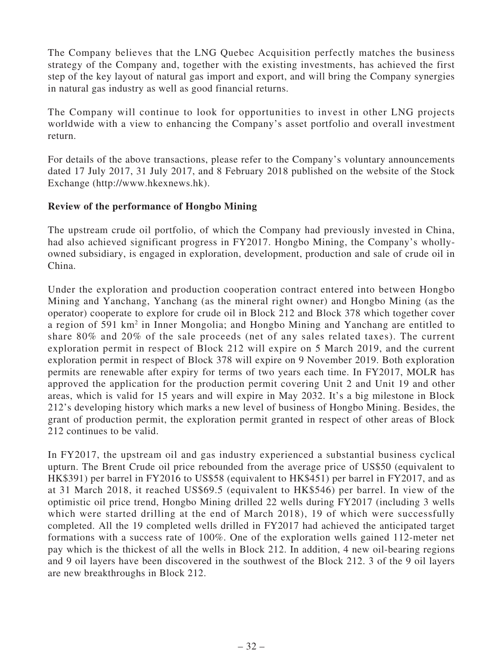The Company believes that the LNG Quebec Acquisition perfectly matches the business strategy of the Company and, together with the existing investments, has achieved the first step of the key layout of natural gas import and export, and will bring the Company synergies in natural gas industry as well as good financial returns.

The Company will continue to look for opportunities to invest in other LNG projects worldwide with a view to enhancing the Company's asset portfolio and overall investment return.

For details of the above transactions, please refer to the Company's voluntary announcements dated 17 July 2017, 31 July 2017, and 8 February 2018 published on the website of the Stock Exchange (http://www.hkexnews.hk).

## **Review of the performance of Hongbo Mining**

The upstream crude oil portfolio, of which the Company had previously invested in China, had also achieved significant progress in FY2017. Hongbo Mining, the Company's whollyowned subsidiary, is engaged in exploration, development, production and sale of crude oil in China.

Under the exploration and production cooperation contract entered into between Hongbo Mining and Yanchang, Yanchang (as the mineral right owner) and Hongbo Mining (as the operator) cooperate to explore for crude oil in Block 212 and Block 378 which together cover a region of 591 km<sup>2</sup> in Inner Mongolia; and Hongbo Mining and Yanchang are entitled to share 80% and 20% of the sale proceeds (net of any sales related taxes). The current exploration permit in respect of Block 212 will expire on 5 March 2019, and the current exploration permit in respect of Block 378 will expire on 9 November 2019. Both exploration permits are renewable after expiry for terms of two years each time. In FY2017, MOLR has approved the application for the production permit covering Unit 2 and Unit 19 and other areas, which is valid for 15 years and will expire in May 2032. It's a big milestone in Block 212's developing history which marks a new level of business of Hongbo Mining. Besides, the grant of production permit, the exploration permit granted in respect of other areas of Block 212 continues to be valid.

In FY2017, the upstream oil and gas industry experienced a substantial business cyclical upturn. The Brent Crude oil price rebounded from the average price of US\$50 (equivalent to HK\$391) per barrel in FY2016 to US\$58 (equivalent to HK\$451) per barrel in FY2017, and as at 31 March 2018, it reached US\$69.5 (equivalent to HK\$546) per barrel. In view of the optimistic oil price trend, Hongbo Mining drilled 22 wells during FY2017 (including 3 wells which were started drilling at the end of March 2018), 19 of which were successfully completed. All the 19 completed wells drilled in FY2017 had achieved the anticipated target formations with a success rate of 100%. One of the exploration wells gained 112-meter net pay which is the thickest of all the wells in Block 212. In addition, 4 new oil-bearing regions and 9 oil layers have been discovered in the southwest of the Block 212. 3 of the 9 oil layers are new breakthroughs in Block 212.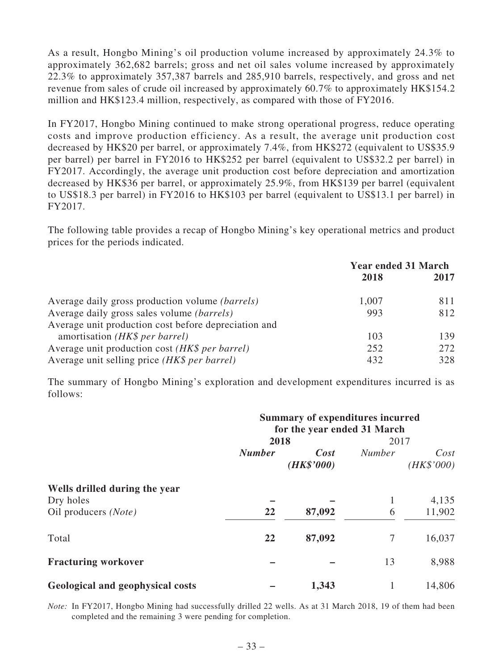As a result, Hongbo Mining's oil production volume increased by approximately 24.3% to approximately 362,682 barrels; gross and net oil sales volume increased by approximately 22.3% to approximately 357,387 barrels and 285,910 barrels, respectively, and gross and net revenue from sales of crude oil increased by approximately 60.7% to approximately HK\$154.2 million and HK\$123.4 million, respectively, as compared with those of FY2016.

In FY2017, Hongbo Mining continued to make strong operational progress, reduce operating costs and improve production efficiency. As a result, the average unit production cost decreased by HK\$20 per barrel, or approximately 7.4%, from HK\$272 (equivalent to US\$35.9 per barrel) per barrel in FY2016 to HK\$252 per barrel (equivalent to US\$32.2 per barrel) in FY2017. Accordingly, the average unit production cost before depreciation and amortization decreased by HK\$36 per barrel, or approximately 25.9%, from HK\$139 per barrel (equivalent to US\$18.3 per barrel) in FY2016 to HK\$103 per barrel (equivalent to US\$13.1 per barrel) in FY2017.

The following table provides a recap of Hongbo Mining's key operational metrics and product prices for the periods indicated.

|                                                        | <b>Year ended 31 March</b> |      |
|--------------------------------------------------------|----------------------------|------|
|                                                        | 2018                       | 2017 |
| Average daily gross production volume <i>(barrels)</i> | 1,007                      | 811  |
| Average daily gross sales volume <i>(barrels)</i>      | 993                        | 812  |
| Average unit production cost before depreciation and   |                            |      |
| amortisation (HK\$ per barrel)                         | 103                        | 139  |
| Average unit production cost (HK\$ per barrel)         | 252                        | 272  |
| Average unit selling price (HK\$ per barrel)           | 432                        | 328  |

The summary of Hongbo Mining's exploration and development expenditures incurred is as follows:

|                                  | <b>Summary of expenditures incurred</b><br>for the year ended 31 March |                               |               |                    |
|----------------------------------|------------------------------------------------------------------------|-------------------------------|---------------|--------------------|
|                                  | 2018                                                                   |                               | 2017          |                    |
|                                  | <b>Number</b>                                                          | $\mathbf{Cost}$<br>(HK\$'000) | <b>Number</b> | Cost<br>(HK\$'000) |
| Wells drilled during the year    |                                                                        |                               |               |                    |
| Dry holes                        |                                                                        |                               |               | 4,135              |
| Oil producers (Note)             | 22                                                                     | 87,092                        | 6             | 11,902             |
| Total                            | 22                                                                     | 87,092                        | 7             | 16,037             |
| <b>Fracturing workover</b>       |                                                                        |                               | 13            | 8,988              |
| Geological and geophysical costs |                                                                        | 1,343                         |               | 14,806             |

*Note:* In FY2017, Hongbo Mining had successfully drilled 22 wells. As at 31 March 2018, 19 of them had been completed and the remaining 3 were pending for completion.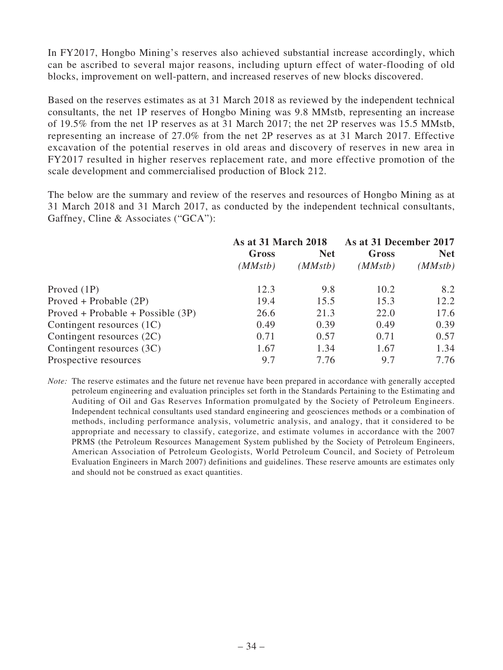In FY2017, Hongbo Mining's reserves also achieved substantial increase accordingly, which can be ascribed to several major reasons, including upturn effect of water-flooding of old blocks, improvement on well-pattern, and increased reserves of new blocks discovered.

Based on the reserves estimates as at 31 March 2018 as reviewed by the independent technical consultants, the net 1P reserves of Hongbo Mining was 9.8 MMstb, representing an increase of 19.5% from the net 1P reserves as at 31 March 2017; the net 2P reserves was 15.5 MMstb, representing an increase of 27.0% from the net 2P reserves as at 31 March 2017. Effective excavation of the potential reserves in old areas and discovery of reserves in new area in FY2017 resulted in higher reserves replacement rate, and more effective promotion of the scale development and commercialised production of Block 212.

The below are the summary and review of the reserves and resources of Hongbo Mining as at 31 March 2018 and 31 March 2017, as conducted by the independent technical consultants, Gaffney, Cline & Associates ("GCA"):

|                                     | <b>As at 31 March 2018</b> |            | As at 31 December 2017 |                       |
|-------------------------------------|----------------------------|------------|------------------------|-----------------------|
|                                     | Gross<br>(MMstb)           | <b>Net</b> | Gross<br>(MMstb)       | <b>Net</b><br>(MMstb) |
|                                     |                            | (MMstb)    |                        |                       |
| Proved $(1P)$                       | 12.3                       | 9.8        | 10.2                   | 8.2                   |
| $Proved + Probable (2P)$            | 19.4                       | 15.5       | 15.3                   | 12.2                  |
| $Proved + Probable + Possible (3P)$ | 26.6                       | 21.3       | 22.0                   | 17.6                  |
| Contingent resources $(1C)$         | 0.49                       | 0.39       | 0.49                   | 0.39                  |
| Contingent resources (2C)           | 0.71                       | 0.57       | 0.71                   | 0.57                  |
| Contingent resources (3C)           | 1.67                       | 1.34       | 1.67                   | 1.34                  |
| Prospective resources               | 9.7                        | 7.76       | 9.7                    | 7.76                  |

*Note:* The reserve estimates and the future net revenue have been prepared in accordance with generally accepted petroleum engineering and evaluation principles set forth in the Standards Pertaining to the Estimating and Auditing of Oil and Gas Reserves Information promulgated by the Society of Petroleum Engineers. Independent technical consultants used standard engineering and geosciences methods or a combination of methods, including performance analysis, volumetric analysis, and analogy, that it considered to be appropriate and necessary to classify, categorize, and estimate volumes in accordance with the 2007 PRMS (the Petroleum Resources Management System published by the Society of Petroleum Engineers, American Association of Petroleum Geologists, World Petroleum Council, and Society of Petroleum Evaluation Engineers in March 2007) definitions and guidelines. These reserve amounts are estimates only and should not be construed as exact quantities.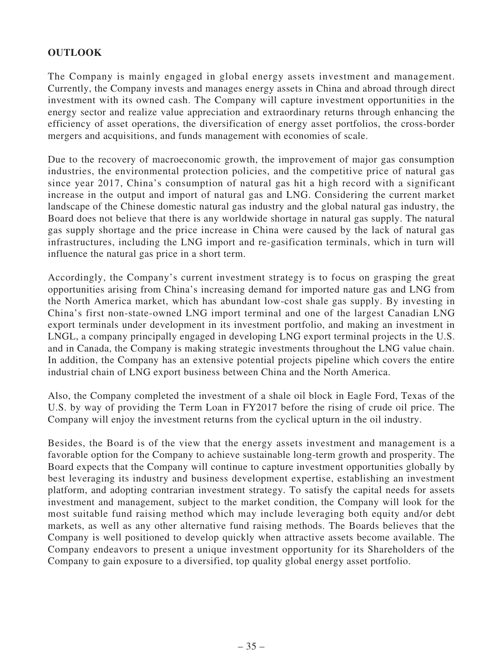## **OUTLOOK**

The Company is mainly engaged in global energy assets investment and management. Currently, the Company invests and manages energy assets in China and abroad through direct investment with its owned cash. The Company will capture investment opportunities in the energy sector and realize value appreciation and extraordinary returns through enhancing the efficiency of asset operations, the diversification of energy asset portfolios, the cross-border mergers and acquisitions, and funds management with economies of scale.

Due to the recovery of macroeconomic growth, the improvement of major gas consumption industries, the environmental protection policies, and the competitive price of natural gas since year 2017, China's consumption of natural gas hit a high record with a significant increase in the output and import of natural gas and LNG. Considering the current market landscape of the Chinese domestic natural gas industry and the global natural gas industry, the Board does not believe that there is any worldwide shortage in natural gas supply. The natural gas supply shortage and the price increase in China were caused by the lack of natural gas infrastructures, including the LNG import and re-gasification terminals, which in turn will influence the natural gas price in a short term.

Accordingly, the Company's current investment strategy is to focus on grasping the great opportunities arising from China's increasing demand for imported nature gas and LNG from the North America market, which has abundant low-cost shale gas supply. By investing in China's first non-state-owned LNG import terminal and one of the largest Canadian LNG export terminals under development in its investment portfolio, and making an investment in LNGL, a company principally engaged in developing LNG export terminal projects in the U.S. and in Canada, the Company is making strategic investments throughout the LNG value chain. In addition, the Company has an extensive potential projects pipeline which covers the entire industrial chain of LNG export business between China and the North America.

Also, the Company completed the investment of a shale oil block in Eagle Ford, Texas of the U.S. by way of providing the Term Loan in FY2017 before the rising of crude oil price. The Company will enjoy the investment returns from the cyclical upturn in the oil industry.

Besides, the Board is of the view that the energy assets investment and management is a favorable option for the Company to achieve sustainable long-term growth and prosperity. The Board expects that the Company will continue to capture investment opportunities globally by best leveraging its industry and business development expertise, establishing an investment platform, and adopting contrarian investment strategy. To satisfy the capital needs for assets investment and management, subject to the market condition, the Company will look for the most suitable fund raising method which may include leveraging both equity and/or debt markets, as well as any other alternative fund raising methods. The Boards believes that the Company is well positioned to develop quickly when attractive assets become available. The Company endeavors to present a unique investment opportunity for its Shareholders of the Company to gain exposure to a diversified, top quality global energy asset portfolio.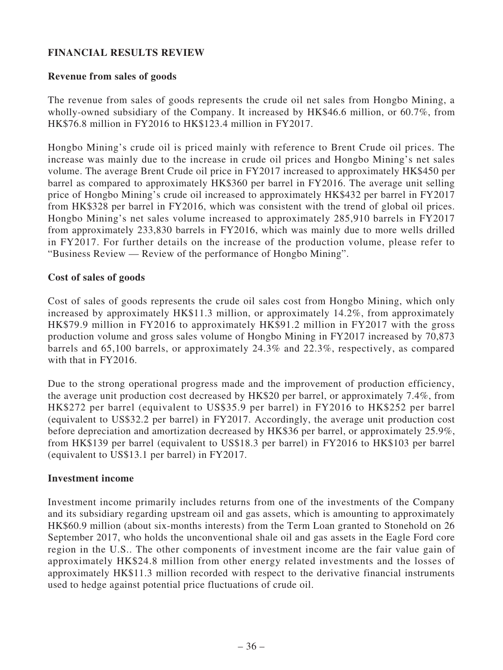## **FINANCIAL RESULTS REVIEW**

#### **Revenue from sales of goods**

The revenue from sales of goods represents the crude oil net sales from Hongbo Mining, a wholly-owned subsidiary of the Company. It increased by HK\$46.6 million, or 60.7%, from HK\$76.8 million in FY2016 to HK\$123.4 million in FY2017.

Hongbo Mining's crude oil is priced mainly with reference to Brent Crude oil prices. The increase was mainly due to the increase in crude oil prices and Hongbo Mining's net sales volume. The average Brent Crude oil price in FY2017 increased to approximately HK\$450 per barrel as compared to approximately HK\$360 per barrel in FY2016. The average unit selling price of Hongbo Mining's crude oil increased to approximately HK\$432 per barrel in FY2017 from HK\$328 per barrel in FY2016, which was consistent with the trend of global oil prices. Hongbo Mining's net sales volume increased to approximately 285,910 barrels in FY2017 from approximately 233,830 barrels in FY2016, which was mainly due to more wells drilled in FY2017. For further details on the increase of the production volume, please refer to "Business Review — Review of the performance of Hongbo Mining".

#### **Cost of sales of goods**

Cost of sales of goods represents the crude oil sales cost from Hongbo Mining, which only increased by approximately HK\$11.3 million, or approximately 14.2%, from approximately HK\$79.9 million in FY2016 to approximately HK\$91.2 million in FY2017 with the gross production volume and gross sales volume of Hongbo Mining in FY2017 increased by 70,873 barrels and 65,100 barrels, or approximately 24.3% and 22.3%, respectively, as compared with that in FY2016.

Due to the strong operational progress made and the improvement of production efficiency, the average unit production cost decreased by HK\$20 per barrel, or approximately 7.4%, from HK\$272 per barrel (equivalent to US\$35.9 per barrel) in FY2016 to HK\$252 per barrel (equivalent to US\$32.2 per barrel) in FY2017. Accordingly, the average unit production cost before depreciation and amortization decreased by HK\$36 per barrel, or approximately 25.9%, from HK\$139 per barrel (equivalent to US\$18.3 per barrel) in FY2016 to HK\$103 per barrel (equivalent to US\$13.1 per barrel) in FY2017.

#### **Investment income**

Investment income primarily includes returns from one of the investments of the Company and its subsidiary regarding upstream oil and gas assets, which is amounting to approximately HK\$60.9 million (about six-months interests) from the Term Loan granted to Stonehold on 26 September 2017, who holds the unconventional shale oil and gas assets in the Eagle Ford core region in the U.S.. The other components of investment income are the fair value gain of approximately HK\$24.8 million from other energy related investments and the losses of approximately HK\$11.3 million recorded with respect to the derivative financial instruments used to hedge against potential price fluctuations of crude oil.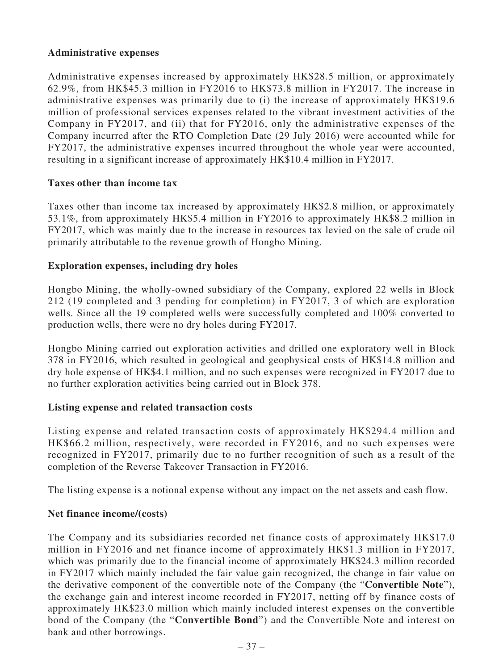## **Administrative expenses**

Administrative expenses increased by approximately HK\$28.5 million, or approximately 62.9%, from HK\$45.3 million in FY2016 to HK\$73.8 million in FY2017. The increase in administrative expenses was primarily due to (i) the increase of approximately HK\$19.6 million of professional services expenses related to the vibrant investment activities of the Company in FY2017, and (ii) that for FY2016, only the administrative expenses of the Company incurred after the RTO Completion Date (29 July 2016) were accounted while for FY2017, the administrative expenses incurred throughout the whole year were accounted, resulting in a significant increase of approximately HK\$10.4 million in FY2017.

## **Taxes other than income tax**

Taxes other than income tax increased by approximately HK\$2.8 million, or approximately 53.1%, from approximately HK\$5.4 million in FY2016 to approximately HK\$8.2 million in FY2017, which was mainly due to the increase in resources tax levied on the sale of crude oil primarily attributable to the revenue growth of Hongbo Mining.

#### **Exploration expenses, including dry holes**

Hongbo Mining, the wholly-owned subsidiary of the Company, explored 22 wells in Block 212 (19 completed and 3 pending for completion) in FY2017, 3 of which are exploration wells. Since all the 19 completed wells were successfully completed and 100% converted to production wells, there were no dry holes during FY2017.

Hongbo Mining carried out exploration activities and drilled one exploratory well in Block 378 in FY2016, which resulted in geological and geophysical costs of HK\$14.8 million and dry hole expense of HK\$4.1 million, and no such expenses were recognized in FY2017 due to no further exploration activities being carried out in Block 378.

## **Listing expense and related transaction costs**

Listing expense and related transaction costs of approximately HK\$294.4 million and HK\$66.2 million, respectively, were recorded in FY2016, and no such expenses were recognized in FY2017, primarily due to no further recognition of such as a result of the completion of the Reverse Takeover Transaction in FY2016.

The listing expense is a notional expense without any impact on the net assets and cash flow.

## **Net finance income/(costs)**

The Company and its subsidiaries recorded net finance costs of approximately HK\$17.0 million in FY2016 and net finance income of approximately HK\$1.3 million in FY2017, which was primarily due to the financial income of approximately HK\$24.3 million recorded in FY2017 which mainly included the fair value gain recognized, the change in fair value on the derivative component of the convertible note of the Company (the "**Convertible Note**"), the exchange gain and interest income recorded in FY2017, netting off by finance costs of approximately HK\$23.0 million which mainly included interest expenses on the convertible bond of the Company (the "**Convertible Bond**") and the Convertible Note and interest on bank and other borrowings.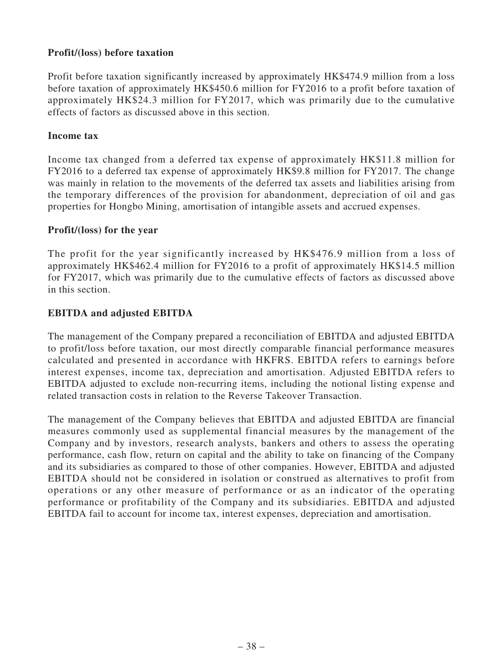## **Profit/(loss) before taxation**

Profit before taxation significantly increased by approximately HK\$474.9 million from a loss before taxation of approximately HK\$450.6 million for FY2016 to a profit before taxation of approximately HK\$24.3 million for FY2017, which was primarily due to the cumulative effects of factors as discussed above in this section.

#### **Income tax**

Income tax changed from a deferred tax expense of approximately HK\$11.8 million for FY2016 to a deferred tax expense of approximately HK\$9.8 million for FY2017. The change was mainly in relation to the movements of the deferred tax assets and liabilities arising from the temporary differences of the provision for abandonment, depreciation of oil and gas properties for Hongbo Mining, amortisation of intangible assets and accrued expenses.

#### **Profit/(loss) for the year**

The profit for the year significantly increased by HK\$476.9 million from a loss of approximately HK\$462.4 million for FY2016 to a profit of approximately HK\$14.5 million for FY2017, which was primarily due to the cumulative effects of factors as discussed above in this section.

## **EBITDA and adjusted EBITDA**

The management of the Company prepared a reconciliation of EBITDA and adjusted EBITDA to profit/loss before taxation, our most directly comparable financial performance measures calculated and presented in accordance with HKFRS. EBITDA refers to earnings before interest expenses, income tax, depreciation and amortisation. Adjusted EBITDA refers to EBITDA adjusted to exclude non-recurring items, including the notional listing expense and related transaction costs in relation to the Reverse Takeover Transaction.

The management of the Company believes that EBITDA and adjusted EBITDA are financial measures commonly used as supplemental financial measures by the management of the Company and by investors, research analysts, bankers and others to assess the operating performance, cash flow, return on capital and the ability to take on financing of the Company and its subsidiaries as compared to those of other companies. However, EBITDA and adjusted EBITDA should not be considered in isolation or construed as alternatives to profit from operations or any other measure of performance or as an indicator of the operating performance or profitability of the Company and its subsidiaries. EBITDA and adjusted EBITDA fail to account for income tax, interest expenses, depreciation and amortisation.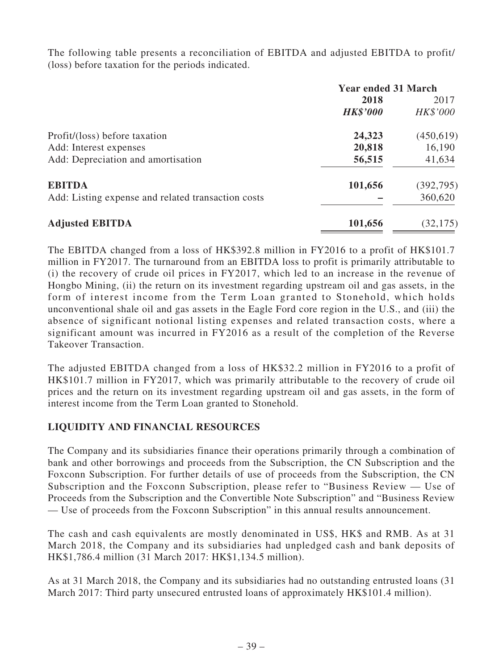The following table presents a reconciliation of EBITDA and adjusted EBITDA to profit/ (loss) before taxation for the periods indicated.

|                                                    | <b>Year ended 31 March</b> |            |  |
|----------------------------------------------------|----------------------------|------------|--|
|                                                    | 2018                       | 2017       |  |
|                                                    | <b>HK\$'000</b>            | HK\$'000   |  |
| Profit/(loss) before taxation                      | 24,323                     | (450,619)  |  |
| Add: Interest expenses                             | 20,818                     | 16,190     |  |
| Add: Depreciation and amortisation                 | 56,515                     | 41,634     |  |
| <b>EBITDA</b>                                      | 101,656                    | (392, 795) |  |
| Add: Listing expense and related transaction costs |                            | 360,620    |  |
| <b>Adjusted EBITDA</b>                             | 101,656                    | (32, 175)  |  |

The EBITDA changed from a loss of HK\$392.8 million in FY2016 to a profit of HK\$101.7 million in FY2017. The turnaround from an EBITDA loss to profit is primarily attributable to (i) the recovery of crude oil prices in FY2017, which led to an increase in the revenue of Hongbo Mining, (ii) the return on its investment regarding upstream oil and gas assets, in the form of interest income from the Term Loan granted to Stonehold, which holds unconventional shale oil and gas assets in the Eagle Ford core region in the U.S., and (iii) the absence of significant notional listing expenses and related transaction costs, where a significant amount was incurred in FY2016 as a result of the completion of the Reverse Takeover Transaction.

The adjusted EBITDA changed from a loss of HK\$32.2 million in FY2016 to a profit of HK\$101.7 million in FY2017, which was primarily attributable to the recovery of crude oil prices and the return on its investment regarding upstream oil and gas assets, in the form of interest income from the Term Loan granted to Stonehold.

## **LIQUIDITY AND FINANCIAL RESOURCES**

The Company and its subsidiaries finance their operations primarily through a combination of bank and other borrowings and proceeds from the Subscription, the CN Subscription and the Foxconn Subscription. For further details of use of proceeds from the Subscription, the CN Subscription and the Foxconn Subscription, please refer to "Business Review — Use of Proceeds from the Subscription and the Convertible Note Subscription" and "Business Review — Use of proceeds from the Foxconn Subscription" in this annual results announcement.

The cash and cash equivalents are mostly denominated in US\$, HK\$ and RMB. As at 31 March 2018, the Company and its subsidiaries had unpledged cash and bank deposits of HK\$1,786.4 million (31 March 2017: HK\$1,134.5 million).

As at 31 March 2018, the Company and its subsidiaries had no outstanding entrusted loans (31 March 2017: Third party unsecured entrusted loans of approximately HK\$101.4 million).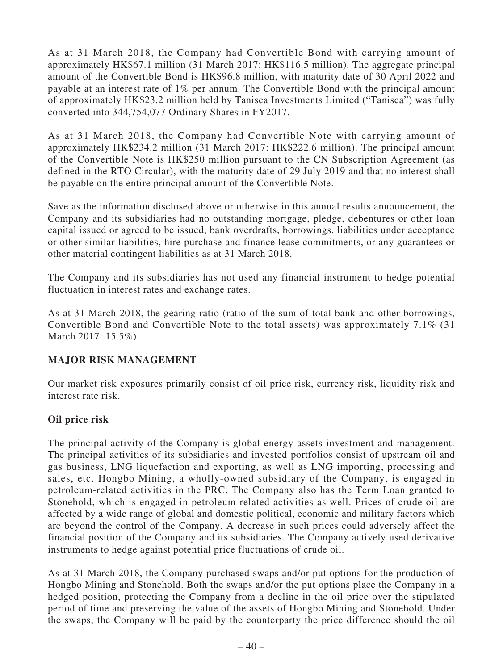As at 31 March 2018, the Company had Convertible Bond with carrying amount of approximately HK\$67.1 million (31 March 2017: HK\$116.5 million). The aggregate principal amount of the Convertible Bond is HK\$96.8 million, with maturity date of 30 April 2022 and payable at an interest rate of 1% per annum. The Convertible Bond with the principal amount of approximately HK\$23.2 million held by Tanisca Investments Limited ("Tanisca") was fully converted into 344,754,077 Ordinary Shares in FY2017.

As at 31 March 2018, the Company had Convertible Note with carrying amount of approximately HK\$234.2 million (31 March 2017: HK\$222.6 million). The principal amount of the Convertible Note is HK\$250 million pursuant to the CN Subscription Agreement (as defined in the RTO Circular), with the maturity date of 29 July 2019 and that no interest shall be payable on the entire principal amount of the Convertible Note.

Save as the information disclosed above or otherwise in this annual results announcement, the Company and its subsidiaries had no outstanding mortgage, pledge, debentures or other loan capital issued or agreed to be issued, bank overdrafts, borrowings, liabilities under acceptance or other similar liabilities, hire purchase and finance lease commitments, or any guarantees or other material contingent liabilities as at 31 March 2018.

The Company and its subsidiaries has not used any financial instrument to hedge potential fluctuation in interest rates and exchange rates.

As at 31 March 2018, the gearing ratio (ratio of the sum of total bank and other borrowings, Convertible Bond and Convertible Note to the total assets) was approximately 7.1% (31 March 2017: 15.5%).

## **MAJOR RISK MANAGEMENT**

Our market risk exposures primarily consist of oil price risk, currency risk, liquidity risk and interest rate risk.

## **Oil price risk**

The principal activity of the Company is global energy assets investment and management. The principal activities of its subsidiaries and invested portfolios consist of upstream oil and gas business, LNG liquefaction and exporting, as well as LNG importing, processing and sales, etc. Hongbo Mining, a wholly-owned subsidiary of the Company, is engaged in petroleum-related activities in the PRC. The Company also has the Term Loan granted to Stonehold, which is engaged in petroleum-related activities as well. Prices of crude oil are affected by a wide range of global and domestic political, economic and military factors which are beyond the control of the Company. A decrease in such prices could adversely affect the financial position of the Company and its subsidiaries. The Company actively used derivative instruments to hedge against potential price fluctuations of crude oil.

As at 31 March 2018, the Company purchased swaps and/or put options for the production of Hongbo Mining and Stonehold. Both the swaps and/or the put options place the Company in a hedged position, protecting the Company from a decline in the oil price over the stipulated period of time and preserving the value of the assets of Hongbo Mining and Stonehold. Under the swaps, the Company will be paid by the counterparty the price difference should the oil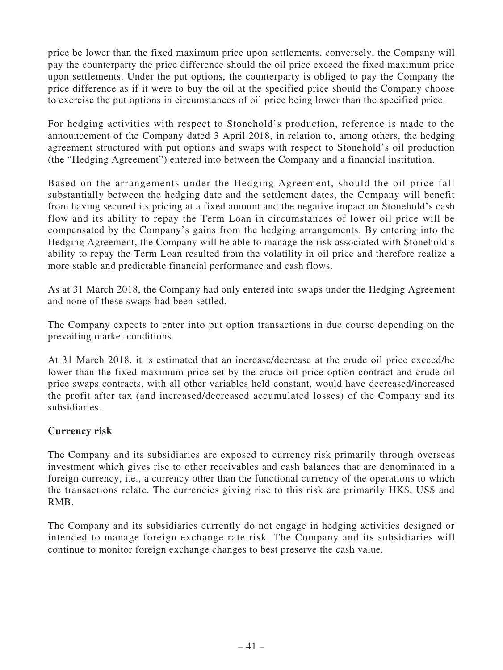price be lower than the fixed maximum price upon settlements, conversely, the Company will pay the counterparty the price difference should the oil price exceed the fixed maximum price upon settlements. Under the put options, the counterparty is obliged to pay the Company the price difference as if it were to buy the oil at the specified price should the Company choose to exercise the put options in circumstances of oil price being lower than the specified price.

For hedging activities with respect to Stonehold's production, reference is made to the announcement of the Company dated 3 April 2018, in relation to, among others, the hedging agreement structured with put options and swaps with respect to Stonehold's oil production (the "Hedging Agreement") entered into between the Company and a financial institution.

Based on the arrangements under the Hedging Agreement, should the oil price fall substantially between the hedging date and the settlement dates, the Company will benefit from having secured its pricing at a fixed amount and the negative impact on Stonehold's cash flow and its ability to repay the Term Loan in circumstances of lower oil price will be compensated by the Company's gains from the hedging arrangements. By entering into the Hedging Agreement, the Company will be able to manage the risk associated with Stonehold's ability to repay the Term Loan resulted from the volatility in oil price and therefore realize a more stable and predictable financial performance and cash flows.

As at 31 March 2018, the Company had only entered into swaps under the Hedging Agreement and none of these swaps had been settled.

The Company expects to enter into put option transactions in due course depending on the prevailing market conditions.

At 31 March 2018, it is estimated that an increase/decrease at the crude oil price exceed/be lower than the fixed maximum price set by the crude oil price option contract and crude oil price swaps contracts, with all other variables held constant, would have decreased/increased the profit after tax (and increased/decreased accumulated losses) of the Company and its subsidiaries.

## **Currency risk**

The Company and its subsidiaries are exposed to currency risk primarily through overseas investment which gives rise to other receivables and cash balances that are denominated in a foreign currency, i.e., a currency other than the functional currency of the operations to which the transactions relate. The currencies giving rise to this risk are primarily HK\$, US\$ and RMB.

The Company and its subsidiaries currently do not engage in hedging activities designed or intended to manage foreign exchange rate risk. The Company and its subsidiaries will continue to monitor foreign exchange changes to best preserve the cash value.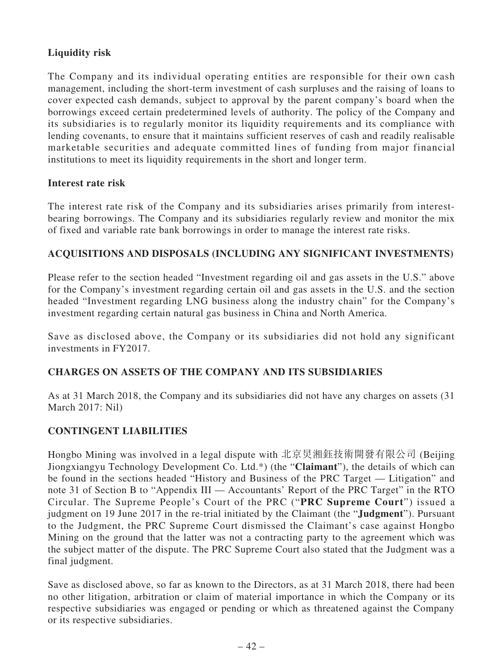## **Liquidity risk**

The Company and its individual operating entities are responsible for their own cash management, including the short-term investment of cash surpluses and the raising of loans to cover expected cash demands, subject to approval by the parent company's board when the borrowings exceed certain predetermined levels of authority. The policy of the Company and its subsidiaries is to regularly monitor its liquidity requirements and its compliance with lending covenants, to ensure that it maintains sufficient reserves of cash and readily realisable marketable securities and adequate committed lines of funding from major financial institutions to meet its liquidity requirements in the short and longer term.

## **Interest rate risk**

The interest rate risk of the Company and its subsidiaries arises primarily from interestbearing borrowings. The Company and its subsidiaries regularly review and monitor the mix of fixed and variable rate bank borrowings in order to manage the interest rate risks.

## **ACQUISITIONS AND DISPOSALS (INCLUDING ANY SIGNIFICANT INVESTMENTS)**

Please refer to the section headed "Investment regarding oil and gas assets in the U.S." above for the Company's investment regarding certain oil and gas assets in the U.S. and the section headed "Investment regarding LNG business along the industry chain" for the Company's investment regarding certain natural gas business in China and North America.

Save as disclosed above, the Company or its subsidiaries did not hold any significant investments in FY2017.

## **CHARGES ON ASSETS OF THE COMPANY AND ITS SUBSIDIARIES**

As at 31 March 2018, the Company and its subsidiaries did not have any charges on assets (31 March 2017: Nil)

## **CONTINGENT LIABILITIES**

Hongbo Mining was involved in a legal dispute with 北京炅湘鈺技術開發有限公司 (Beijing Jiongxiangyu Technology Development Co. Ltd.\*) (the "**Claimant**"), the details of which can be found in the sections headed "History and Business of the PRC Target — Litigation" and note 31 of Section B to "Appendix III — Accountants' Report of the PRC Target" in the RTO Circular. The Supreme People's Court of the PRC ("**PRC Supreme Court**") issued a judgment on 19 June 2017 in the re-trial initiated by the Claimant (the "**Judgment**"). Pursuant to the Judgment, the PRC Supreme Court dismissed the Claimant's case against Hongbo Mining on the ground that the latter was not a contracting party to the agreement which was the subject matter of the dispute. The PRC Supreme Court also stated that the Judgment was a final judgment.

Save as disclosed above, so far as known to the Directors, as at 31 March 2018, there had been no other litigation, arbitration or claim of material importance in which the Company or its respective subsidiaries was engaged or pending or which as threatened against the Company or its respective subsidiaries.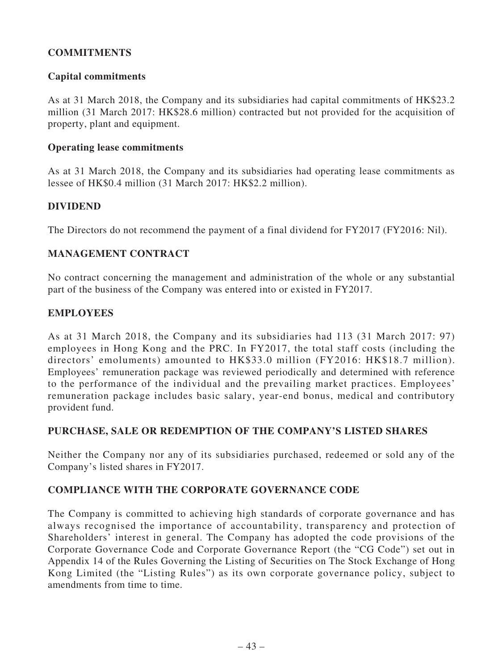## **COMMITMENTS**

#### **Capital commitments**

As at 31 March 2018, the Company and its subsidiaries had capital commitments of HK\$23.2 million (31 March 2017: HK\$28.6 million) contracted but not provided for the acquisition of property, plant and equipment.

#### **Operating lease commitments**

As at 31 March 2018, the Company and its subsidiaries had operating lease commitments as lessee of HK\$0.4 million (31 March 2017: HK\$2.2 million).

#### **DIVIDEND**

The Directors do not recommend the payment of a final dividend for FY2017 (FY2016: Nil).

## **MANAGEMENT CONTRACT**

No contract concerning the management and administration of the whole or any substantial part of the business of the Company was entered into or existed in FY2017.

#### **EMPLOYEES**

As at 31 March 2018, the Company and its subsidiaries had 113 (31 March 2017: 97) employees in Hong Kong and the PRC. In FY2017, the total staff costs (including the directors' emoluments) amounted to HK\$33.0 million (FY2016: HK\$18.7 million). Employees' remuneration package was reviewed periodically and determined with reference to the performance of the individual and the prevailing market practices. Employees' remuneration package includes basic salary, year-end bonus, medical and contributory provident fund.

#### **PURCHASE, SALE OR REDEMPTION OF THE COMPANY'S LISTED SHARES**

Neither the Company nor any of its subsidiaries purchased, redeemed or sold any of the Company's listed shares in FY2017.

## **COMPLIANCE WITH THE CORPORATE GOVERNANCE CODE**

The Company is committed to achieving high standards of corporate governance and has always recognised the importance of accountability, transparency and protection of Shareholders' interest in general. The Company has adopted the code provisions of the Corporate Governance Code and Corporate Governance Report (the "CG Code") set out in Appendix 14 of the Rules Governing the Listing of Securities on The Stock Exchange of Hong Kong Limited (the "Listing Rules") as its own corporate governance policy, subject to amendments from time to time.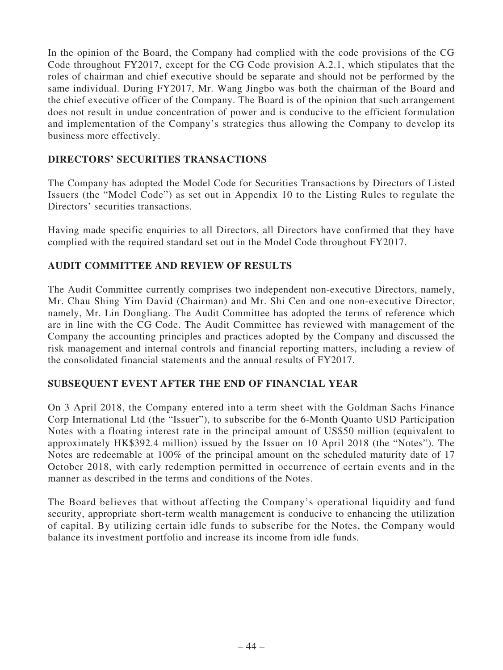In the opinion of the Board, the Company had complied with the code provisions of the CG Code throughout FY2017, except for the CG Code provision A.2.1, which stipulates that the roles of chairman and chief executive should be separate and should not be performed by the same individual. During FY2017, Mr. Wang Jingbo was both the chairman of the Board and the chief executive officer of the Company. The Board is of the opinion that such arrangement does not result in undue concentration of power and is conducive to the efficient formulation and implementation of the Company's strategies thus allowing the Company to develop its business more effectively.

## **DIRECTORS' SECURITIES TRANSACTIONS**

The Company has adopted the Model Code for Securities Transactions by Directors of Listed Issuers (the "Model Code") as set out in Appendix 10 to the Listing Rules to regulate the Directors' securities transactions.

Having made specific enquiries to all Directors, all Directors have confirmed that they have complied with the required standard set out in the Model Code throughout FY2017.

## **AUDIT COMMITTEE AND REVIEW OF RESULTS**

The Audit Committee currently comprises two independent non-executive Directors, namely, Mr. Chau Shing Yim David (Chairman) and Mr. Shi Cen and one non-executive Director, namely, Mr. Lin Dongliang. The Audit Committee has adopted the terms of reference which are in line with the CG Code. The Audit Committee has reviewed with management of the Company the accounting principles and practices adopted by the Company and discussed the risk management and internal controls and financial reporting matters, including a review of the consolidated financial statements and the annual results of FY2017.

## **SUBSEQUENT EVENT AFTER THE END OF FINANCIAL YEAR**

On 3 April 2018, the Company entered into a term sheet with the Goldman Sachs Finance Corp International Ltd (the "Issuer"), to subscribe for the 6-Month Quanto USD Participation Notes with a floating interest rate in the principal amount of US\$50 million (equivalent to approximately HK\$392.4 million) issued by the Issuer on 10 April 2018 (the "Notes"). The Notes are redeemable at 100% of the principal amount on the scheduled maturity date of 17 October 2018, with early redemption permitted in occurrence of certain events and in the manner as described in the terms and conditions of the Notes.

The Board believes that without affecting the Company's operational liquidity and fund security, appropriate short-term wealth management is conducive to enhancing the utilization of capital. By utilizing certain idle funds to subscribe for the Notes, the Company would balance its investment portfolio and increase its income from idle funds.